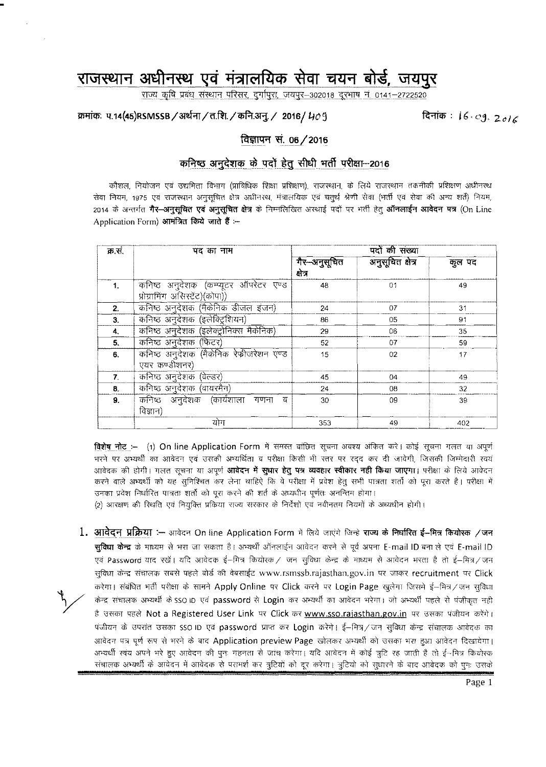### <u>राजस्थान अधीनस्थ एवं मंत्रालयिक सेवा चयन बोर्ड, जयपुर</u>

राज्य कृषि प्रबंध संस्थान परिसर, दुर्गापुरा, जयपूर-302018 दूरभाष नं. 0141-2722520

### Wllicff: -q.14(45)RSMSSB/3T¢rr/ff.fu./~.3Tj./ **2016/** *l-Jo9*

दिनांकः  $16 \cdot cg \cdot 2016$ 

### $\sqrt{q}$ ज्ञापन सं. 06/2016

### कनिष्ठ अनुदेशक के पदों हेतु सीधी भर्ती परीक्षा-2016

कौशल, नियोजन एवं उद्यमिता विभाग (प्राविधिक शिक्षा प्रशिक्षण), राजस्थान, के लिये राजस्थान तकनीकी प्रशिक्षण अधीनस्थ सेवा नियम, 1975 एवं राजस्थान अनुसुचित क्षेत्र अधीनरथ, मंत्रालयिक एवं चतुर्थ श्रेणी सेवा (भर्ती एवं सेवा की अन्य शर्ते) नियम, 2014 के अन्तर्गत गैर-अनुसूचित एवं अनुसूचित क्षेत्र के निम्नलिखित अस्थाई पदों पर भर्ती हेतू ऑनलाईन आवेदन पत्र (On Line Application Form) आमंत्रित किये जाते हैं :-

| क सं             | पद का नाम                                                              |                         | पदों की संख्या   |        |
|------------------|------------------------------------------------------------------------|-------------------------|------------------|--------|
|                  |                                                                        | गैर–अनुसूचित<br>क्षेत्र | अनुसूचित क्षेत्र | कुल पद |
|                  | कनिष्ठ अनुदेशक (कम्प्यूटर ऑपरेटर एण्ड<br>प्रोग्रामिंग असिरटेंट)(कोपा)) | 48                      | O <sub>1</sub>   | 49     |
| 2.               | कनिष्ठ अनुदेशक (मैकेनिक डीजल इंजन)                                     | 24                      | 07               | 31     |
| 3.               | कनिष्ठ अनुदेशक (इलेक्ट्रिशियन)                                         | 86                      | 05 <sub>5</sub>  | 91     |
| 4.               | कनिष्ठ अनुदेशक (इलेक्ट्रोनिक्स मैकेनिक)                                | 29                      | 06 <sub>1</sub>  | 35     |
| 5.               | कनिष्ठ अनुदेशक (फिटर)                                                  | 52                      | 07               | 59     |
| 6.               | कनिष्ठ अनुदेशक (मैकेनिक रेफीजरेशन एण्ड<br>एयर कण्डीशनर)                | 15                      | 02 <sub>2</sub>  | 17     |
| $\overline{r}$ . | कनिष्ठ अनुदेशक (वेल्डर)                                                | 45                      | 04               | 49     |
| 8.               | कनिष्ठ अनुदेशक (वायरमैन)                                               | 24                      | -90              | 32     |
| 9.               | कनिष्ठ अनुदेशक (कार्यशाला गणना<br>ਹ<br>विज्ञान)                        | 30                      | 09               | 39     |
|                  | योग                                                                    | 353                     | 49               | 402    |

विशेष नोट :-- (1) On line Application Form में समस्त वांछित सूचना अवश्य अंकित करे। कोई सूचना गलत या अपूर्ण भरने पर अभ्यर्थी का आवेदन एवं उसकी अभ्यर्थिता व परीक्षा किसी भी स्तर पर रदद कर दी जावेगी, जिसकी जिम्मेदारी स्वयं आवेदक की होगी। गलत सूचना या अपूर्ण **आवेदन में सुधार हेतु पत्र व्यवहार स्वीकार नही किया जाएगा।** परीक्षा के लिये आवेदन करने वाले अभ्यर्थी को यह सुनिश्चित कर लेना चाहिऐ कि वे परीक्षा में प्रवेश हेतू सभी पात्रता शर्तों को पूरा करते है। परीक्षा में उनका प्रवेश निर्धारित पात्रता शर्तो को पूरा करने की शर्त के अध्यधीन पूर्णतः अनन्तिम होगा।

(2) आरक्षण की रिथति एवं नियक्ति प्रकिया राज्य सरकार के निर्देशों एवं नवीनतम नियमों के अध्यधीन होगी।

 $\frac{1}{2}$  $1.$  **आवेदन प्रक्रिया** :— आवेदन On line Application Form में लिये जाएंगे जिन्हे **राज्य के निर्धारित ई—मित्र कियोस्क** /जन **सुविधा केन्द्र** के माध्यम से भरा जा सकता है। अभ्यर्थी ऑनलाईन आवेदन करने से पूर्व अपना E-mail ID बना ले एवं E-mail ID एवं Password याद रखें। यदि आवेदक ई–मित्र कियोस्क / जन सुविधा केन्द्र के माध्यम से आवेदन भरता है तो ई–मित्र /जन सुविधा केन्द्र संचालक सबसे पहले बोर्ड की वेबसाईट [www.rsmssb.rajasthan.gov.in](http://www.rsmssb.rajasthan.gov.in) पर जाकर recruitment पर Click करेगा। संबंधित भर्ती परीक्षा के सामने Apply Online पर Click करने पर Login Page खुलेगा जिसमे ई—मित्र ⁄ जन सुविधा केन्द्र संचालक अभ्यर्थी के SSO ID एवं password से Login कर अभ्यर्थी का आवेदन भरेगा। जो अभ्यर्थी पहले से पंजीकृत नही है उसका पहले Not a Registered User Link पर Click कर <u>[www.sso.rajasthan.gov.in](http://www.sso.rajasthan.gov.in)</u> पर उसका पंजीयन करेंगे। पंजीयन के उपरांत उसका SSO ID एवं password प्राप्त कर Login करेंगे। ई—मित्र / जन सुविधा केन्द्र संचालक आवेदक का आवेदन पत्र पूर्ण रूप से भरने के बाद Application preview Page खोलकर अभ्यर्थी को उसका भरा हुआ आवेदन दिखायेगा। अभ्यर्धी स्वय अपने भरे हुए आवेदन की पुनः गहनता से जांच करेगा। यदि आवेदन में कोई त्रुटि रह जाती है तो ई–मित्र कियोस्क संचालक अभ्यर्थी के आवेदन में आवेदक से परामर्श कर त्रुटियों को दूर करेगा। त्रुटियों को सुधारने के बाद आवेदक को पन उसके

Page 1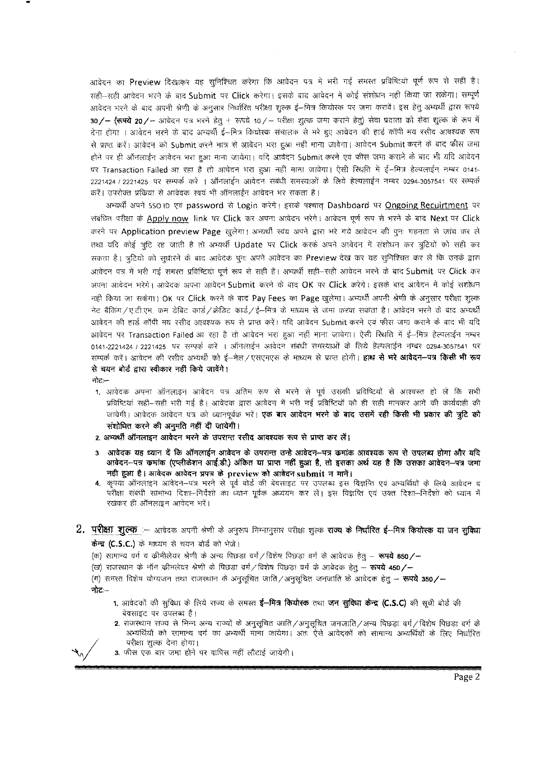आवेदन का Preview दिखाकर यह सुनिश्चित करेगा कि आवेदन पत्र में भरी गई समस्त प्रविष्टियां पूर्ण रूप से सही है। सही--सही आवेदन भरने के बाद Submit पर Click करेगा। इसके बाद आवेदन में कोई संशोधन नही किया जा सकेगा। सम्पूर्ण आवेदन भरने के बाद अपनी श्रेणी के अनुसार निर्धारित परीक्षा शुल्क ई—मित्र कियोरक पर जमा करावें। इस हेतु अभ्यर्थी द्वारा रूपये 30/- (रूपये 20/- आवेदन पत्र भरने हेतु + रूपये 10/- परीक्षा शुल्क जमा कराने हेतु) सेवा प्रदाता को सेवा शुल्क के रूप में देना होगा । आवेदन भरने के बाद अभ्यर्थी ई—मित्र कियो<del>स्क संचालक से भरे हुए आवेदन की हार्ड क</del>ॉपी मय रसीद आवश्यक रूप से प्राप्त करें। आवेदन को Submit करने मात्र से आवेदन भरा हुआ नहीं माना जावेगा। आवेदन Submit करने के बाद फीस जमा होने पर ही ऑनलाईन आवेदन भरा हुआ माना जायेगा। यदि आवेदन Submit करने एवं फीस जमा कराने के बाद भी यदि आवेदन पर Transaction Failed आ रहा है तो आवेदन भरा हुआ नहीं माना जावेगा। ऐसी स्थिति में ई–मित्र हेल्पलाईन नम्बर 0141-2221424 / 2221425 पर सम्पर्क करें । ऑनलाईन आवेदन संबंधी समस्याओं के लिये हेल्पलाईन नम्बर 0294-3057541 पर सम्पर्क  $\sigma$ रें | उपरोक्त प्रकिया से आवेदक स्वयं भी ऑनलाईन आवेदन भर सकता है।

अन्यर्थी अपने SSO ID एवं password से Login करेगे। इसके पश्चात् Dashboard पर Ongoing Recuirtment पर संबंधित परीक्षा के Apply now link पर Click कर अपना आवेदन भरेगे। आवेदन पूर्ण रूप से भरने के बाद Next पर Click करने पर Application preview Page खुलेगा। अभ्यर्थी स्वंय अपने द्वारा भरे गये आवेदन की पुनः गहनता से जांच कर ले तथा यदि कोई त्रुटि रह जाती है तो अभ्यर्थी Update पर Click करके अपने आवेदन में संशोधन कर त्रुटियों को सही कर सकता है। त्रुटियो को सुधारने के बाद आवेदक पुनः अपने आवेदन का Preview देख कर यह सुनिश्चित कर ले कि उनके द्वारा आवेदन पत्र में भरी गई समस्त प्रविष्टियां पूर्ण रूप से सही है। अभ्यर्थी सही–सही आवेदन भरने के बाद Submit पर Click कर अपना आवेदन भरेगे। आवेदक अपना आवेदन Submit करने के बाद OK पर Click *करे*गे। इसके बाद आवेदन में कोई संशोधन नही किया जा सकेगा। OK पर Click करने के बाद Pay Fees का Page खुलेगा। अभ्यर्थी अपनी श्रेणी के अनुसार परीक्षा शुल्क + नेट बैकिंग / ए.टी.एम. कम डेबिट कार्ड / क्रेडिट कार्ड / ई-मित्र के माध्यम से जमा करवा सकता है। आवेदन भरने के बाद अभ्यर्थी आवेदन की हार्ड कॉपी मय रसीद आवश्यक रूप से प्राप्त करें। यदि आवेदन Submit करने एवं फीस जमा कराने के बाद भी यदि आवेदन पर Transaction Failed आ रहा है तो आवेदन भरा हुआ नहीं माना जावेगा। ऐसी स्थिति में ई-मित्र हेल्पलाईन नम्बर 0141-2221424 *I* 2221425 पर सम्पर्क करें । ऑनलाईन आवेदन संबंधी समस्याओं के लिये हेल्पलाईन नम्बर 0294-3057541 पर सम्पर्क करें। आवेदन की रसीद अभ्यर्थी को ई—मेल / एसएमएस के माध्यम से प्राप्त होगी। **हाथ से भरे आवेदन—पत्र किसी भी रूप** से चयन बोर्ड द्वारा स्वीकार नहीं किये जावेंगे।

- नोट:--
- 1. आवेदक अपना ऑनलाइन आवेदन पत्र अंतिम रूप से भरने से पूर्व उसकी प्रविष्टियों से आश्चस्त हो लें कि सभी प्रविष्टियां सही-सही भरी गई है। आवेदक द्वारा आवेदन में भरी गई प्रविष्टियों को ही सही मानकर आगे की कार्यवाही की जावेगी। आवेदक आवेदन पत्र को ध्यानपूर्वक भरें। **एक बार आवेदन भरने के बाद उसमें रही किसी भी प्रकार की त्रुटि को** संशोधित करने की अनुमति नहीं दी जायेगी।
- 2. अभ्यर्थी ऑनलाइन आवेदन भरने के उपरान्त रसीद आवश्यक रूप से प्राप्त कर लें।
- आवेदक यह ध्यान दें कि ऑनलाईन आवेदन के उपरान्त उन्हे आवेदन-पत्र कमांक आवश्यक रूप से उपलब्ध होगा और यदि आवेदन--पत्र कमांक (एप्लीकेशन आई.डी.) अंकित या प्राप्त नहीं हुआ है, तो इसका अर्थ यह है कि उसका आवेदन--पत्र जमा नही हुआ है। आवेदक आवेदन प्रपत्र के preview को आवेदन submit न मानें।
- नहीं हुआ है। आवेदक आवेदन प्रपत्र के preview को आवेदन submit न मानें।<br>4. कृपया ऑनलाइन आवेदन—पत्र भरने से पूर्व बोर्ड की बेवसाइट पर उपलब्ध इस विज्ञप्ति एवं अभ्यर्थियों के लिये आवेदन व परीक्षा संबंधी सामान्य दिशा—निर्देशो का ध्यान पूर्वक अध्ययन कर लें। इस विज्ञप्ति एवं उक्त दिशा—निर्देशो को ध्यान में रखकर ही ऑनलाइन आवेदन भरें।
- $2.$   $\frac{1}{10}$ सा शुल्क आवेदक अपनी श्रेणी के अनुरूप निम्नानुसार परीक्षा शुल्क **राज्य के निर्धारित ई—मित्र कियोस्क या जन सुविधा** केन्द्र (C.S.C.) के माध्यम से चयन बोर्ड को भेजे।
	- (क) सामान्य वर्ग व कीमीलेयर श्रेणी के अन्य पिछड़ा वर्ग / विशेष पिछड़ा वर्ग के आवेदक हेलु रूपये 850/-
	- (ख) राजस्थान के नॉन कीमलेयर श्रेणी के पिछड़ा वर्ग/विशेष पिछड़ा वर्ग के आवेदक हेतु रूपये 450/-
	- (ग) समस्त विशेष योग्यजन तथा राजस्थान के अनुसूचित जाति / अनुसूचित जनजाति के आवेदक हेतु **रूपये 350/-**

नोट $-$ 

- 1. आवेदकों की सुविधा के लिये राज्य के समस्त **ई-मित्र कियोस्क** तथा जन सुविधा केन्द्र (C.S.C) की सूची बोर्ड की बेवसाइट पर उपलब्ध है।
- 2. राजस्थान राज्य से भिन्न अन्य राज्यों के अनुसूचित जाति /अनुसूचित जनजाति /अन्य पिछड़ा वर्ग / विशेष पिछड़ा वर्ग के अभ्यर्थियों को सामान्य वर्ग का अभ्यर्थी माना जायेगा। अतः ऐसे आवेदकों को सामान्य अभ्यर्थियों के लिए निर्धारित परीक्षा शुल्क देना होगा।
- 3. फीस एक बार जमा होने पर वापिस नहीं लौटाई जायेगी।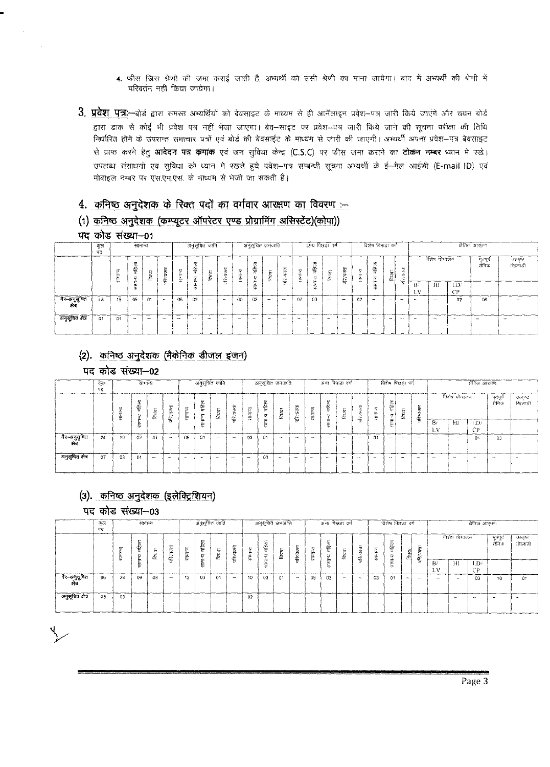- 4. फीस जिस श्रेणी की जमा कराई जाती है, अभ्यर्थी को उसी श्रेणी का माना जायेगा। बाद में अभ्यर्थी की श्रेणी में परिवर्तन नहीं किया जायेगा।
- 3. प्रवेश<sub>.</sub> पत्र:- बोर्ड द्वारा समस्त अभ्यर्थियों को बेवसाइट के माध्यम से ही आनॅलाइन प्रवेश-पत्र जारी किये जाएंगे और चयन बोर्ड द्वारा डाक से कोई भी प्रवेश पत्र नहीं भेजा जाएगा। बेव–साइट पर प्रवेश–पत्र जारी किये जाने की रहवना परीक्षा की तिथि द्वारा डाक स काइ भा प्रवंश पत्र नहा भजा जाएगा। बव–साइट पर प्रवंश–पत्र जारा क्रिय जान का सूचना पराक्षा क<br>निर्धारित होने के उपरान्त समाचार पत्रों एवं बोर्ड की बेवसाईट के माध्यम से जारी की जाएगी। अभ्यर्थी अपना प्रवेश–पत्र बे से प्राप्त करने हेतु **आवेदन पत्र कमांक** एवं जन सुविधा केन्द्र (C.S.C) पर फीस जमा कराने का टोकन नम्बर ध्यान मे रखे। <sup>~</sup> <sup>~</sup> -c;d <sup>~</sup> *<iT* u:rr-l -q <sup>~</sup> sU ~-l:f5! ~ ~ 3R<l'-lt ciJ ~-Trc1~ **(E-mail 10)** -c;d मोबाइल नम्बर पर एस.एम.एस. के माध्यम से भेजी जा सकती है।

### 4. *\_\_ क***निष्ठ अनुदेशक के रिक्त पदों का वर्गवार आरक्षण का विवरण :-**

### (1) कनिष्ठ अनुदेशक (कम्प्यूटर ऑपरेटर एण्ड प्रोग्रामिंग असिस्टेंट)(कोपा))

|  |  |  | पद कोड संख्या–01 |
|--|--|--|------------------|
|--|--|--|------------------|

|                    | কুল<br>भद |               | सामञ्च                   |                          |                              |              | -अनुसूचित जाति - |                                  |                          |                |                                  | ं अनुसूचित जनजाति । |                                               |                                                              |                               | अन्य पिछड़ा वर्ग |                    |        | विशेष विख्ञा वर्ग                                              |         |                          |          |               |                       | शैतिज्ञ अख़्ताण    |                        |
|--------------------|-----------|---------------|--------------------------|--------------------------|------------------------------|--------------|------------------|----------------------------------|--------------------------|----------------|----------------------------------|---------------------|-----------------------------------------------|--------------------------------------------------------------|-------------------------------|------------------|--------------------|--------|----------------------------------------------------------------|---------|--------------------------|----------|---------------|-----------------------|--------------------|------------------------|
|                    |           | -<br>≂<br>100 | 巼<br>訾<br>$\overline{D}$ | 反<br>邕                   | _<br>٠.<br>Av<br><b>SALE</b> | $\sim$<br>÷. | 砻<br>뢵           | <b>Free</b><br>ैय<br>ÎФ.<br>- 25 | person in<br>厦<br>परित्य | 5<br>信用        | <br>تناثر<br>ື<br>$\cdots$       |                     | $P_{\text{max}}$<br>ber-<br>l۷<br>۳<br>₩<br>ğ | 57<br>$\ddot{\phantom{1}}$<br>$\overline{ }$<br>$\pm 1$<br>益 | 5,644<br>٤Ŀ<br>訾<br>缸         | ीज<br>亳<br>$-$   | m.<br>Ъ۶<br>m<br>Ē | ٠<br>듮 | <b>TWA</b><br>阣<br>盔<br>$\ddot{\phantom{1}}$<br>$\overline{v}$ | क्रियां | $P-1$<br>ţ<br>34<br>w.   |          | विशेष योग्यजन |                       | भूरतपूर्व<br>सैनिक | <b>STORE</b><br>िलाड़ी |
|                    |           |               | ्म<br>स                  |                          |                              |              | <br>∟.<br>ь.     |                                  |                          |                | $\overline{a}$<br><br><b>TVY</b> |                     |                                               |                                                              | ÷.<br>$\ddot{ }$<br>÷<br>ريدو |                  |                    |        | έ<br>e.<br>÷                                                   |         |                          | B.<br>ιv | H             | LD/<br>$\mathbb{C}^p$ |                    |                        |
| गैर-अनुसुचित<br>জন | 48        | 15            | 05                       | 01                       | <b>WA</b>                    | 06           | 02               | $\cdots$                         | <b>STATE</b>             | 05             | 02                               | <b>STATE</b>        | $-$                                           | 07                                                           | 03                            | $\cdots$         | $\sim$             | 02     | $\sim$                                                         | $\sim$  | $\overline{\phantom{a}}$ | $\sim$   | $\sim$        | 02                    | 06                 |                        |
| अनुसूचित क्षेत्र   | -01       | 01            | --                       | $\overline{\phantom{a}}$ | <b>TWAN</b>                  | <b>SHAMP</b> | $\sim$           | -                                | <b>Service</b>           | <b>Service</b> | -                                | <b>Seattle</b>      | $\sim$                                        | -                                                            | 1.1111                        | سد               | $\sim$             | $\sim$ | $\sim$                                                         | $\sim$  | $-1$                     |          | $\sim$        | $\sim$                | $\sim$             | --                     |

### (2). कनिष्ठ अनुदेशक (मैकेनिक डीजल इंजन)

### पद कोड संख्या-02

|                         | জুল<br>UC. |    | सामग्रन्थ               |        |                           |         | अनुसूचित जाति            |                 |             |             |         | -अनुसूचित जनजाति  |                    |               | अन्य पिछाड़ा बर्ग                  |                          |                |                              |                | विशेष विख्छा वर्ग        |                                       |                |                | शैविज अध्वापा   |                   |                  |
|-------------------------|------------|----|-------------------------|--------|---------------------------|---------|--------------------------|-----------------|-------------|-------------|---------|-------------------|--------------------|---------------|------------------------------------|--------------------------|----------------|------------------------------|----------------|--------------------------|---------------------------------------|----------------|----------------|-----------------|-------------------|------------------|
|                         |            | P. | $\mathbf{r}$<br>ģù<br>÷ | 辰<br>Æ | æ<br>ಸಿ<br>访<br>Sie.<br>毊 | హ<br>öi | 讆                        | Æ.              | "<br>₩<br>ë | $5 - 18112$ | 偟<br>E  | -<br>œ            | m<br>べ<br>Marian C | 带<br>le.<br>È | ٠.<br>厄<br>쑏<br>47<br>÷            |                          | è              | 5<br>$\sim$<br>×<br>÷<br>'n. | İΣ<br>쏱<br>习   | s<br>Ë                   | 100<br>$\mathbf{r}$<br>Ř,<br>-<br>16. |                | विशेष योग्यजन  |                 | -मुल्लूच<br>रोनिक | उत्कर!<br>िशलाही |
|                         |            |    | bor-<br>м.              |        |                           |         | ະ<br>$\ddot{}$           |                 | ÷.          |             | 臣       |                   |                    |               | Sea.<br>$\blacksquare$<br>TH-<br>帯 |                          | <b>MY</b>      |                              | Е<br>w.<br>w   |                          | ç.                                    | B/<br>LV.      | Ш              | 1 Di<br>CD<br>◟ |                   |                  |
| गैर–अनुसुचित<br>क्षेत्र | 24         | 10 | 02                      | 01     | $-10.01$                  | 05      | 01                       | $\sim$          | 1981        | 03          | $^{01}$ | <b>COLLECTION</b> | 14444              | 1 Mar         | $\cdots$                           | $\sim$                   | <b>Service</b> | 91                           | $\sim$         | 1.11                     | <b>COLL</b>                           | $1 - 1$        | $\sim$         | $^{\circ}$      | 03                | <b>Address</b>   |
| अनुसूचित क्षेत्र        | 07         | 03 | 01                      | $\sim$ | محد                       | $\sim$  | $\overline{\phantom{a}}$ | <b>Security</b> | $\cdots$    | -           | 03      | $\sim$            | $\sim$             | -             | $\mathbf{a}$                       | $\overline{\phantom{a}}$ | $\sim$         | -                            | <b>Address</b> | $\overline{\phantom{a}}$ |                                       | <b>Service</b> | <b>Service</b> | $\sim$          | $\sim$            | $\ddotsc$        |

### (3). **कनिष्ठ अनुदेशक (इलेक्ट्रिशियन)**

### पद कोड संख्या-03

|                             | जुल<br>गर |                | सम्मान्य     |                          |                      |        | अनुसूचित जाति  | <b>Channel Modern Comment Comme</b> |                          |        | - अनुसूचित जनजाति -                      |                    |             |            |                       | -अन्य पिछड़ा वर्ग |                                                |            | विशेष विछडा वर्ग                        |                         |                                              |          |               | लैनिज अस्क्षण                |                  |                                     |
|-----------------------------|-----------|----------------|--------------|--------------------------|----------------------|--------|----------------|-------------------------------------|--------------------------|--------|------------------------------------------|--------------------|-------------|------------|-----------------------|-------------------|------------------------------------------------|------------|-----------------------------------------|-------------------------|----------------------------------------------|----------|---------------|------------------------------|------------------|-------------------------------------|
|                             |           |                | 些            | Æ                        | 云<br>ю<br>्<br>इंग्ल | ×<br>隘 | ь.<br>ے<br>hu. | $\mathbf{A}$<br>⊶<br><br>đ.         | 蒜<br>x.<br>٠.<br>Æ       | E<br>Ē | $\lambda$<br>陀<br>ę<br>ನ<br><b>Since</b> | $\cdots$<br>ਲ<br>Æ | 奁           | <br>m<br>Е | <br>Ë<br>27           | 47.               | $\overline{\phantom{a}}$<br><b>Color</b><br>È. | kτ<br>卮    | $\sim$<br>٣                             | 厚<br>Æs<br><b>Serie</b> | $\sim$<br>$\overline{ }$<br>Same.<br>۰<br>ĸ. |          | विशेष साम्यसन |                              | भूतपूर्व<br>22.5 | उत्कृष्ट<br>ीतलाडी                  |
|                             |           |                | m.<br>$\sim$ |                          |                      |        | い              |                                     |                          |        | <b>Sim</b><br>Ë.<br>$\ddot{}$            |                    |             |            | n.<br>⊢.<br>$\ddotsc$ |                   |                                                |            | a is<br>243<br>Sec.<br>$\ddot{ }$<br>sa |                         | <b>Cancer</b><br>$\overline{\phantom{a}}$    | 87<br>Lν | НI            | 1.0 <sub>2</sub><br>$1 - 13$ |                  |                                     |
| - गेर-अनुसुवित<br>- क्षेत्र | 86        | 28             | 09           | 03                       | $\sim$               | 12     | O <sub>3</sub> | 01                                  | <b>TITLE</b>             | 10     | оз                                       | 01                 | <b>Sec.</b> | 09         | 03                    |                   | $\cdots$                                       | 03         | 01                                      | <b>STAR</b>             | $\cdots$                                     | -        | $\sim$        | -03                          | .<br>10.         | <b>Deadline Consultation</b><br>-01 |
| अनुसूचित तेत्र              | 05        | 0 <sub>0</sub> | $\sim$       | $\overline{\phantom{a}}$ | and a                | $\sim$ |                | <b>Bally</b>                        | $\overline{\phantom{a}}$ | 02     | $\sim$                                   | 15.01              | 1000        | $\sim$     | <b>Service</b>        | <b>Service</b>    | <b>COM</b>                                     | <b>ALC</b> | $\overline{\phantom{a}}$                | -                       | --                                           | $\cdots$ | $\sim$        | $\sim$                       | $\sim$           | $\sim$                              |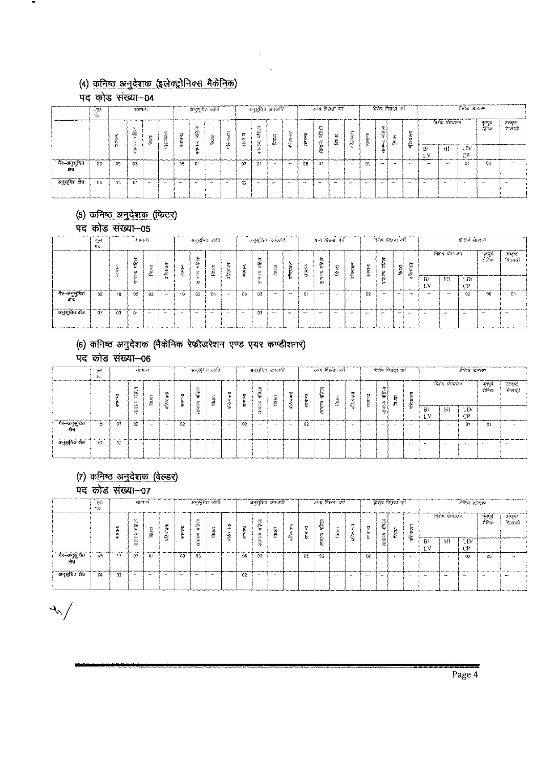### (4) कनिष्ठ अनुदेशक (इलेक्ट्रोनिक्स मैकेनिक)

पद कोड संख्या-04

|                        | कुल<br>पद |                          | सामान्ध       |                   |                          |              |                    | अनुरायित जाति |                 |          |                          | अनुसूचित जनजाति |        |         | अन्य पिछड़ा वर्ग         |          |              |            |              | विशेष पिछड़ा वर्ग |                    |             |                          | क्षेतिज आक्षाण |                          |                     |
|------------------------|-----------|--------------------------|---------------|-------------------|--------------------------|--------------|--------------------|---------------|-----------------|----------|--------------------------|-----------------|--------|---------|--------------------------|----------|--------------|------------|--------------|-------------------|--------------------|-------------|--------------------------|----------------|--------------------------|---------------------|
|                        |           | кJ<br>یشیل<br>ւ.         | Ħ<br>ч÷<br>ъ. | 5<br>70<br>$\sim$ | F<br>۰u<br>15<br>ю<br>毫  | Я<br>÷.<br>Ę | c.<br>в.<br>华<br>Ñ | hw<br>œ       | <b>CO</b><br>ď. | r.<br>E. | 亝                        | ेल              | Ŀ      | ю<br>ļ. | ю<br>窑<br>εy             | 差        | ë            | æ          | 쓶            | 筍<br>Ĉ            | E<br>n.<br>75<br>¢ |             | विशेष योग्यजन            |                | भूमक<br>सनिक             | उत्कृष्ट<br>रिंगलाई |
|                        |           | $\overline{\phantom{a}}$ | π.            |                   |                          |              | -<br>ы             |               |                 |          | 틊                        |                 |        |         | b.<br>듩                  |          | $\mathbf{z}$ |            | सम्बन्ध      |                   |                    | B/<br>L٧    | Ħ                        | LD/<br>СP      |                          |                     |
| र्गर-अनुसुचित<br>केत्र | 29        | 09                       | 03            | $\sim$            | $\overline{\phantom{a}}$ | 05           | 01                 | $\sim$        | $\sim$          | 03       | 01                       | <b>AAA</b>      | MAY.   | 05      | 01                       | $\cdots$ | $-$          | 01         | w-           | <b>MALL</b>       | معمر               | <b>STEP</b> | $\overline{\phantom{a}}$ | 01             | -03                      | <b>AAA</b>          |
| अनुसूचित क्षेत्र       | 06        | 03                       | 01            | $\mathbf{m}$      | which is                 | Mar.         | المعار             | -44           | $\overline{a}$  | 02       | $\overline{\phantom{a}}$ | $\sim$          | $\sim$ | $\sim$  | $\overline{\phantom{a}}$ | -        | <b>ALC:</b>  | <b>MAY</b> | $\mathbf{v}$ | -                 | $\sim$             | -           | 44                       | 150            | $\overline{\phantom{a}}$ | <b>AND</b>          |

### (5) कनिष्ठ अनुदेशक (फिटर)

पद कोड संख्या-05

|                         | কলে<br>पद |                   | सामान्य               |              |                                      |            | -अनुसूचित जाति- |                                         |                              |                                                                                                                                                                                                                                      |                  | -अनुसूचित जनजाति - |                          |                |                                               | अन्य गिछड़। वर्ग      |                            |                          | विशेष पिछड़ा वर्ग          |    |                         |                   |               | क्षेतिज आरक्षण |                  |                   |
|-------------------------|-----------|-------------------|-----------------------|--------------|--------------------------------------|------------|-----------------|-----------------------------------------|------------------------------|--------------------------------------------------------------------------------------------------------------------------------------------------------------------------------------------------------------------------------------|------------------|--------------------|--------------------------|----------------|-----------------------------------------------|-----------------------|----------------------------|--------------------------|----------------------------|----|-------------------------|-------------------|---------------|----------------|------------------|-------------------|
|                         |           | R<br>$\cdot$<br>E | 垒<br>$\boldsymbol{z}$ | 蒜<br>Æ<br>-- | <b>CON</b><br>ben.<br>र्रु<br>ಸ<br>Ę | 罗<br>ŗ     | ٣<br>华<br>ಞ     | 辱<br>$\overline{\phantom{a}}$<br>启<br>∽ | $\mathbf{H}$<br>Ę<br>परित्यः | ಸ್<br>낲<br>Ē                                                                                                                                                                                                                         | 卮<br>些<br>做<br>÷ | 医腹膜                | 姫<br>崔                   | 停<br>MA.<br>医带 | $\overline{\phantom{a}}$<br>恕<br>磐<br>豆<br>⊷. | $\sim$<br>巨<br>Æ<br>╙ | t.<br>89.<br>ie-<br>परित्य | ю<br>白豆                  | ٠<br>سنة<br>ترا<br>訾<br>Ē. | 51 | $m =$<br>ic.<br>٧,<br>ŧ |                   | विशेष योग्यजन |                | भूतपूर्व<br>सनिक | -36696<br>रितलाडी |
|                         |           |                   | $\sim$                |              |                                      | ÷          | 춘               |                                         |                              |                                                                                                                                                                                                                                      | 巼                |                    |                          |                | m<br>策                                        |                       |                            |                          | 臣<br>π.                    |    | 鲁                       | B.<br>LV.         | H1            | LD/<br>CP      |                  |                   |
| गैर-अनुसूचित<br>क्षेत्र | 52        | 18                | 05                    | 02           | <b>MAG</b>                           |            | 02              |                                         | $A \rightarrow B$            | 08                                                                                                                                                                                                                                   | $^{03}$          | $\sim$             | $\overline{\phantom{a}}$ | O <sub>3</sub> | A5                                            | 555                   | $-1$                       | 02                       | $\sim$                     | -  | <b>Service</b>          | <b>CONTRACTOR</b> | $-2$          | 02             | 06               | 01                |
| अनुसूचित क्षेत्र        | 07        | 03                | 01                    | $-$          | $-$                                  | <b>SPE</b> | <b>Septime</b>  | -                                       | 15.99                        | <b>The Contract of the Contract of the Contract of the Contract of the Contract of the Contract of the Contract of the Contract of the Contract of the Contract of the Contract of the Contract of the Contract of the Contract </b> | 03               | $-1$               | $\sim$                   | -              | $-$                                           | $-$                   | $\frac{1}{2}$              | $\overline{\phantom{a}}$ | 2000                       |    | $\mathbf{m}$            | $\rightarrow$     | <b>START</b>  | -              | -                | -                 |

### (6) कनिष्ठ अनुदेशक (मैकनिक रेफीजरेशन एण्ड एयर कण्डीशनर)

पद कोड संख्या-06

|                         | જુલ<br>घट |             | सामान्य                            |                          |                |                          | अनुसूचित उत्तति |                          |                        |           |                           | -अनुसूचित जगजाति - |        |        | अन्य पिछडा वर्ग |                |                              |                          |              | विशेष विछड़ा वर्ग |                |            |               | क्षेतिज आरक्षण           |                  |                          |
|-------------------------|-----------|-------------|------------------------------------|--------------------------|----------------|--------------------------|-----------------|--------------------------|------------------------|-----------|---------------------------|--------------------|--------|--------|-----------------|----------------|------------------------------|--------------------------|--------------|-------------------|----------------|------------|---------------|--------------------------|------------------|--------------------------|
|                         |           | 20.5<br>in. | .<br>¢<br>32<br>刁<br><b>Select</b> | $\sim$<br>ĥч<br>æ<br>    | W.<br>afère    | w<br>isler.              | Mar.<br>磐       | <b>Section</b><br>विध्या | r.<br>$\sim$<br>後<br>ŧ | सम्बद     | œ<br>ው<br><b>AND</b><br>勾 | Ō.                 | 喜      | eliale | AM.<br>iτ<br>窖  | 83             | er en a<br>芯<br>Хr<br>न<br>म | ĸ<br>4HL)                | Ħ.<br>磐<br>₹ | 反応                | 巼<br>परिस्थान  |            | विशेष योग्यजन |                          | भूतपूर्व<br>सनिक | তকেছ:<br>रिग्लाड         |
|                         |           |             | -<br>-33                           |                          |                |                          | ــ<br>÷<br>₩    |                          |                        |           | -30<br>₩                  |                    |        |        | सामान्य         |                |                              |                          | ÷<br>ŧ       |                   |                | B/<br>Ł٧   | ΗΙ            | LD/<br>mв                |                  |                          |
| गेर-अनुसुचित<br>क्षेत्र | 15        | 07          | 02                                 | $\overline{\phantom{m}}$ | man.           | 02                       | $\sim$          | -                        | 1979                   | 02        |                           | $100 - 100$        | $\sim$ | 02     | <b>Service</b>  | <b>Service</b> | $-$                          |                          | $-$          |                   | <b>DOM:</b>    | <b>AMP</b> | $-$           | 01                       | 01               | <b>CANAL</b>             |
| अनुसूचित क्षेत्र        | 02        | 02          | $\cdots$                           | $\cdots$                 | $\overline{a}$ | $\overline{\phantom{a}}$ | --              | ست                       | .                      | <b>AM</b> | $\overline{\phantom{a}}$  | $\sim$             | AP.    | $\sim$ | $\sim$          | $\cdots$       | $\cdots$                     | $\overline{\phantom{a}}$ | -            | m.                | $\overline{a}$ |            | $\sim$        | $\overline{\phantom{a}}$ | <b>Service</b>   | $\overline{\phantom{0}}$ |

### (7) कनिष्ठ अनुदेशक (वेल्डर)

पद कोड संख्या-07

 $\mathcal{N}$ 

|                             | च्छूल<br>経管 |        | सामग                            |    |               |                | अनुसूचित जाति |                          |             |         | अनुसूचित जनजाति |        |                                    |                                   | अन्य विश्वका वर्ग |    |              |          |           | विशेष पिछला वर्ग |                          |                    |                          | र्सातेज आरक्षण |                  |                    |
|-----------------------------|-------------|--------|---------------------------------|----|---------------|----------------|---------------|--------------------------|-------------|---------|-----------------|--------|------------------------------------|-----------------------------------|-------------------|----|--------------|----------|-----------|------------------|--------------------------|--------------------|--------------------------|----------------|------------------|--------------------|
|                             |             | 幻<br>Ę | $\mathbf{A}^{\mathbf{a}}$<br>Ġ. | 度海 | Ģ,<br>परिस्था | ř<br>प्<br>साम | $\sim$<br>垒   | $1 - 1$<br>তি<br>邑       | Ę<br>दरिश्य | सामान्य | AG              | 避      | <b>Section</b><br><b>ALC:</b><br>Æ | $\boldsymbol{z}$<br><b>Citati</b> | Ę.<br>n<br>쁞<br>Ņ | Æ. | ≂<br>ñ.<br>È | 臣<br>Ŵ   | 哪部        | 后<br>ë           | Ę<br>परित्य              |                    | विशेष योग्यजन            |                | भूतपूर्व<br>सनिक | उत्कृष:<br>रिवलाडी |
|                             |             |        |                                 |    |               |                |               |                          |             |         | 屁               |        | ъ.                                 |                                   | 计可能               |    | ŦŦ           |          | testesis. |                  |                          | $\mathbf{B}$<br>ιv | Ħ                        | LD/<br>СP      |                  |                    |
| - गैर-अनुसुचित<br>- क्षेत्र | 45          | 13     | 03                              | 01 | $\sim$        | 08             | 03            | $\overline{a}$           | $\sim$      | 06      | 02              | $\sim$ | $\sim$                             | -05                               | 02                |    | <b>SALE</b>  | 02       | سد        | $\overline{}$    | $\overline{\phantom{a}}$ | سد                 | $\overline{\phantom{a}}$ | 02             | 05               | $\sim$             |
| अनुसूचित क्षेत्र            | 04          | 02     | -                               | -  | -             | $\sim$         |               | $\overline{\phantom{0}}$ | ---         | 02      | $-25$           | $-10$  | $-40$                              | $\overline{\phantom{a}}$          | $\cdots$          |    | $\sim$       | $\cdots$ |           | $\sim$           | $\sim$                   |                    | $\overline{r}$           | <b>Service</b> | ÷                |                    |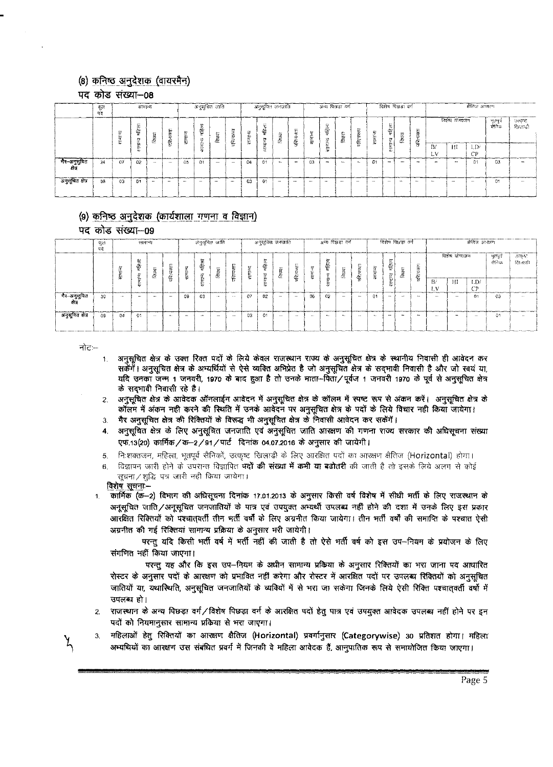### (8) कनिष्ठ अनुदेशक (वायरमैन)

### पद कोड सख्या–08

|                           | कुल<br>ਾਣ |           | सामान्य     |          |                    |        |                       | अनुसृचित जाति            |                          |         |                  | - अनुसूचित जनजाति -      |                   |         |        | अन्य पिछड़ा वर्ग         |                          |        |                          | विशेष पिछड़ा वर्ग |                 |                |                          | औतिज्ञ आन्द्रशृण |                   |                    |
|---------------------------|-----------|-----------|-------------|----------|--------------------|--------|-----------------------|--------------------------|--------------------------|---------|------------------|--------------------------|-------------------|---------|--------|--------------------------|--------------------------|--------|--------------------------|-------------------|-----------------|----------------|--------------------------|------------------|-------------------|--------------------|
|                           |           | 反<br>सम्ब | مشتهز<br>ነው | Æ        | $\sim$<br>रित्यवत् | 友<br>Ę | n.<br>u.<br>坐<br>Ħ    | ਿਤ<br>虛                  | Þ<br>परित्यक             | য়<br>Ë | $\sim$<br>售<br>Þ | $A++$<br>ë               | 把<br>窥<br>36<br>Φ | Þ.<br>늖 | 卮<br>蜜 | ᡃᠣ<br>扈                  | è.                       | m<br>E | h.<br>奪                  | 同語                | $-$<br>i.<br>ì4 |                | ৱিহাম যায্যনেন           |                  | भूतपूर्व<br>सैनिक | ਰਕਸਾਟ<br>किा ताड़ी |
|                           |           |           |             |          | ↜                  |        | Wer<br>⊷<br>p.<br>ic. |                          |                          |         | ь.               |                          |                   |         | ⊷<br>₿ |                          |                          |        | सामान्य                  |                   | `\≒             | B/<br>Lν       | Ħ                        | LD/<br>€P        |                   |                    |
| ं गैर-अनुसुचित<br>क्षेत्र | 24        | O7        | 02          | $\cdots$ | $\cdots$           | 05     | $^{01}$               | $\overline{\phantom{0}}$ | $\overline{\phantom{0}}$ | 04      | 01               | $\overline{\phantom{a}}$ | $-$               | 03      | $\sim$ | $\sim$                   | $\sim$                   | 01     | $\overline{\phantom{a}}$ | -                 |                 | $\overline{a}$ | $\sim$ $-$               | O1               | 03                |                    |
| अनुसूचित क्षेत्र          | 08        | 03        | 01          | $\sim$   | $\overline{a}$     | $\sim$ | <b>After</b>          | $\overline{\phantom{a}}$ | -                        | 03      | 01               | $\overline{\phantom{a}}$ | $-$               | $\sim$  | -      | $\overline{\phantom{a}}$ | $\overline{\phantom{a}}$ | $\sim$ | $- - -$                  | MA.               |                 |                | $\overline{\phantom{a}}$ |                  | O1                | -                  |

### (9) कनिष्ठ अनुदेशक (कार्यशाला गणना व विज्ञान)

पद कोड संख्या–09

|                        | ক্ষুল<br>पद |          | सामान्य                  |          |                                   |    | अनुसूचित जाति |                          |            |        | अनुसूचित जनजाति |                          |                                  |                | अन्य पिछड़ा वर्ग    |                          |                          |             |           | विशेष पिछड़ा वर्ग        |              |            |                          | क्षेतिज आखण |                 |                      |
|------------------------|-------------|----------|--------------------------|----------|-----------------------------------|----|---------------|--------------------------|------------|--------|-----------------|--------------------------|----------------------------------|----------------|---------------------|--------------------------|--------------------------|-------------|-----------|--------------------------|--------------|------------|--------------------------|-------------|-----------------|----------------------|
|                        |             | 局<br>Ę   | 振<br>∉                   | jy.<br>œ | $\overline{a}$<br>Ę<br>परिया<br>प | 忘  | ∊<br>訾<br>50  | -<br>िक हवा              | परिस्पत्ता | ವ<br>Ë | চ<br>华<br>ਕ     | 过<br>差                   | <b>Mark</b><br>ы<br>₩<br>परित्य. | 反<br>. н.<br>Ė | Ξ<br>٨о             | $\sim$<br>సా<br>œ        | Ģ                        | Þ<br>F<br>拡 | 专<br>ਡ    | 토<br>Æ                   | <br>ľ٥<br>Œ. |            | विशेष योग्यजन            |             | শূলঘুর<br>सैनिक | उक्तव्ह<br>रिप्रताडी |
|                        |             |          |                          |          |                                   |    | 눈             |                          |            |        | Ė               |                          |                                  |                | $\overline{ }$<br>÷ |                          | €                        | m.          | Ð         |                          | Б            | B/<br>1. V | Ш                        | LD/<br>m    |                 |                      |
| ार-अनुसुवित<br>क्षेत्र | 30          | $\cdots$ | $\overline{\phantom{a}}$ |          | <b>AMA</b>                        | O9 | 03            | <b>TOMA</b>              | -          | 07     | 02              | $\overline{\phantom{m}}$ | $\sim$                           | 06             | $^{02}$             | $\overline{\phantom{a}}$ | $\overline{\phantom{a}}$ | -01         | <b>AM</b> | $\rightarrow$            | <b>CALL</b>  | -          | $\overline{\phantom{a}}$ | 01          | 03              |                      |
| अनुसूचित लेन्न         | 09          | 04       | 01                       | $\cdots$ | <b>FALL</b>                       | -  | $\sim$        | $\overline{\phantom{a}}$ | $\sim$     | 03     | $\Omega$ 1      | $\cdots$                 | $\overline{\phantom{a}}$         | $\sim$         | $n =$               | man.                     | 1000                     | 1.1         | 1000      | $\overline{\phantom{a}}$ | $\sim$       | $\cdots$   | w.                       | $\cdots$    | 01              | $\sim$               |

नोट:–

L

- अनुसूचित क्षेत्र के उक्त रिक्त पदों के लिये केवल राजस्थान राज्य के अनुसूचित क्षेत्र के स्थानीय निवासी ही आवेदन कर  $1<sup>1</sup>$ सकेंगें। अनुसूचित क्षेत्र के अभ्यर्थियों से ऐसे व्यक्ति अभिप्रेत है जो अनुसूचित क्षेत्र के सदभावी निवासी है और जो स्वयं या, यदि उनका जन्म 1 जनवरी, 1970 के बाद हुआ है तो उनके माता-पितां/पूर्वज 1 जनवरी 1970 के पूर्व से अनुसूचित क्षेत्र के सदमावी निवासी रहे है।
- अनुसूचित क्षेत्र के आवेदक ऑनलाईन आवेदन में अनुसूचित क्षेत्र के कॉलम में स्पष्ट रूप से अंकन करें। अनुसूचित क्षेत्र के  $2.$ कॉलम में अंकन नहीं करने की स्थिति में उनके आवेदन पर अनुसूचित क्षेत्र के पदों के लिये विचार नहीं किया जायेगा।
- गैर अनुसूचित क्षेत्र की रिक्तियों के विरूद्ध भी अनुसूचित क्षेत्र के निवासी आवेदन कर सकेंगें। 3.
- अनुसूचित क्षेत्र के लिए अनुसूचित जनजाति एवं अनुसूचित जाति आरक्षण की गणना राज्य सरकार की अधिसूचना संख्या एफ.13(20) कार्मिक/क—2/91/पार्ट दिनांक 04.07.2016 के अनुसार की जायेगी।
- निःशक्तजन, महिला, भूतपूर्व सैनिकों, उत्कृष्ट खिलाडी के लिए आरक्षित पदों का आरक्षण क्षैतिज (Horizontal) होगा।  $5<sub>1</sub>$
- विज्ञापन जारी होने के उपरान्त विज्ञापित **पदों की संख्या में कमी या बढोतरी** की जाती है तो इसके लिये अलग से कोई 6. सूचना ⁄ शुद्धि पत्र जारी नही किया जायेगा। विशेष सूचना-
- कार्मिक (क—2) विभाग की अधिसूचना दिनांक 17.01.2013 के अनुसार किसी वर्ष विशेष में सीधी मर्ती के लिए राजस्थान के अनूसूचित जाति/अनूसूचित जनजातियों के पात्र एवं उपयुक्त अभ्यर्थी उपलब्ध नहीं होने की दशा में उनके लिए इस प्रकार आरक्षित रिक्तियों को पश्चातुवर्ती तीन भर्ती वर्षों के लिए अग्रनीत किया जायेगा। तीन भर्ती वर्षों की समाप्ति के पश्चात ऐसी अग्रनीत की गई रिक्तियां सामान्य प्रक्रिया के अनुसार भरी जायेगी।

परन्तु यदि किसी भर्ती वर्ष में भर्ती नहीं की जाती है तो ऐसे भर्ती वर्ष को इस उप-नियम के प्रयोजन के लिए संगणित नहीं किया जाएगा।

परन्तु यह और कि इस उप-नियम के अधीन सामान्य प्रकिया के अनुसार रिक्तियों का भरा जाना पद आधारित रोस्टर के अनुसार पदों के आरक्षण को प्रभावित नहीं करेगा और रोस्टर में आरक्षित पदों पर उपलब्ध रिक्तियों को अनुसूचित जातियों या, यथास्थिति, अनुसूचित जनजातियों के व्यक्तियों में से भरा जा सकेगा जिनके लिये ऐसी रिक्ति पश्चातृवर्ती वर्षो में उपलब्ध हो।

राजस्थान के अन्य पिछड़ा वर्ग/विशेष पिछड़ा वर्ग के आरक्षित पदों हेतु पात्र एवं उपयुक्त आवेदक उपलब्ध नहीं होने पर इन  $\overline{2}$ . पदों को नियमानुसार सामान्य प्रकिया से भरा जाएगा।

महिलाओं हेतु रिक्तियों का आरक्षण क्षैतिज (Horizontal) प्रवर्गानुसार (Categorywise) 30 प्रतिशत होगा। महिला 3. अभ्यधियों का आरक्षण उस संबंधित प्रवर्ग में जिनकी वे महिला आवेदक हैं, आनुपातिक रूप से समायोजित किया जाएगा।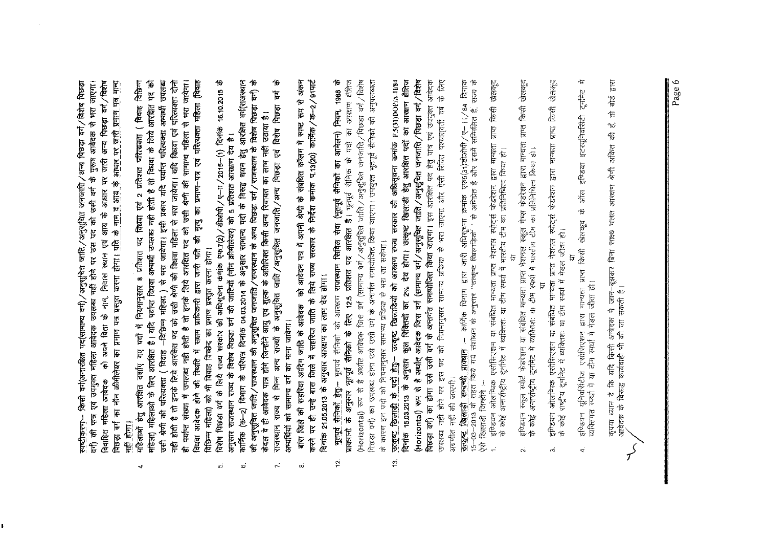<u>स्पष्टीकरण</u>:-- किसी वर्ग(अनारक्षित पद(सामान्य वर्ग) / अनुसूचित जाति / अनुसूचित जनजाति / अन्य पिछड़ा वर्ग / विशेष पिछड़ा<br>वर्ग) की पात्र एवं उपयुक्त महिला आवेदक उपलब्ध नहीं होने पर उस पद को उसी वर्ग के पुरुष आवेदक से मरा ज को अपने पिता के नाम, निवास स्थान एवं आधार पर जारी अन्य पिछड़ा वर्ग/विशेष पिछड़ा वर्ग का नाँन क्रीनीलेयर का प्रमाण पत्र प्रस्तुत करना होगा। पति के नाम व आय के आधार पर जारी प्रमाण पत्र मान्य विवाहित महिला आवेदक <u>नहीं होगा।</u>

- ही पर्याप्त संख्या में उपलब्ध नही होती है तो इनके लिये आरक्षित पद को उसी श्रेणी की सामान्य महिला से भरा जायेगा। विघवा आवेदक होने की स्थिति में सक्षम प्राधिकारी द्वारा जारी गति की मृत्यु का प्रमाण-पत्र एवं परित्यक्ता महिला (विवाह महिला) महिलाओं के लिए आरक्षित है। यदि पर्याप्त विद्यवा अन्यर्थी उपलब्ध नही होती है तो विद्यवा के लिये आरक्षित पद को उसी श्रेणी की परित्यक्ता (विवाह -विछिन्न महिला ) से मरा जायेगा। इसी प्रकार यदि पर्याप्त परित्यक्ता अन्यर्थी उपलब्ध महिलाओं हेतु आरक्षित दर्शाए गए पदों में नियमानुसार 8 प्रतिशत पद किंदवा एवं 2 प्रतिशत परित्यक्ता ( विवाह विक्रिन विछिन्न महिला) को भी विवाह विच्छेद का प्रमाण प्रस्तुत करना होगा।  $\mathbf{a}$
- विशेष पिछडा वर्ग के लिये राज्य सरकार की अघिसूचना कमांक एफ.7(2) / डीओपी / ए--π / 2015--(1) दिनांक 16.10.2015 के<br>अनुसार राजस्थान राज्य के विशेष पिछडा वर्ग की जातियों (नॉन क्रीमीलेयर) को 5 प्रतिशत आरक्षण देय है। ιó.
- की अनुसूचित जाति/राजस्थान की अनुसूचित जनजाति/राजस्थान के अन्य पिछड़ा वर्ग/राजस्थान के विशेष पिछड़ा वर्ग) के कार्मिक (क–2) विभाग के परिपत्र दिनांक 04.03.2014 के अनुसार सामान्य पदों के विरुद्ध चयन हेतु आरक्षित वर्ग(राजस्थान केवल वे ही आवेदक पात्र होंगे जिन्होंने आयु एवं शुल्क के अतिरिक्त किसी अन्य रियायत का लाम नहीं उठाया है। õ
- अनुसूचित जाति/अनुसूचित जनजाति/अन्य पिछड़ा एवं विशेष पिछड़ा वर्ग के अभ्यधियों को सामान्य वर्ग का माना जावेगा। राजस्थान राज्य से मिन्न अन्य राज्यों के  $\mathbb{R}^2$ 
	- करने पर ही उन्हे बारा जिले में सहरिया जाति के लिये राज्य सरकार के निर्देश कमांक प.13(20) कार्मि*क/क-2/*91पार्ट बांरा जिले की सहरिया आदिम जाति के आवेदक पत्र में अपनी श्रेणी के संबंधित कॉलम में स्पष्ट रूप से अंकन दिनांक 21.05.2013 के अनुसार आरक्षण का लाभ देय होगा।  $\infty$
- पिछड़ा वर्ग) का उपलब्ध होगा उसे उसी वर्ग के अन्तर्गत समायोजित किया जाएगा। उपयुक्त भूतपूर्व सैनिको की अनुपलब्धता भूता<u>रही सैनिकों ह</u>ेतु – भूतपर्व सीमिका सामस्थान सिविल सेना (भूतिको सिनिको सामस्था) नियम, नियम, सिक्क के भूतपूर्व सैनिको के लिए 12.5 प्रतिशत पद आरक्षित है। भूतपूर्व भीनेक के पदों का आरक्षण क्षेतिज (Horizontal) रूप से है अर्थात आवेदक जिस वर्ग (सामान्य वर्ग /अनुसूचित जाति /अनुसूचित जनजाति /पिछड़ा वर्ग /विशेष के कारण इन पदों को नियमानुसार सामान्य प्रक्रिया से भरा जा सकेगा। के अनुसार प्राकानी  $\mathbf{\hat{a}}$ 
	- उत्कूल खिलाड़ी के पदों हेतु:-- उत्कूल खिलाड़ियों को आरक्षण राज्य सरकार की अधिसूचना कमांक F.S(31)DOP/A-11/84 दिनांक 15.03.2013 के अनुसार कुल सिक्तियों का 2% देय होगा। उत्कृष्ट खिलाडी हेतु आरक्षित पदों का आरक्षण क्षेतिज (Horizontal) रूप से है अर्थात् आवेदक जिस वर्ग (सामान्य वर्ग / अनुसूचित जाति / अनुसूचित जनजाति / पिछड़ा वर्ग /विशेष **मिछड़ा वर्ग) का होगा उसे उसी बर्ग के अन्तर्गत समायोजित किया जाएगा।** इस आरक्षित पद हेतु पात्र एवं उपयुक्त आदे*दक* उपलब्ध नहीं होने पर इस पद को नियमानुसार सामान्य प्रक्रिया से भरा जाएगा और ऐसी रिक्रित पश्चात्वर्ती वर्ष के लिए अग्रणीत नहीं की जाएगी।  $\mathbf{S}$

<u>उत्कृष्ट वित्रलाडी सम्बन्धी प्राक्यान</u> :-- कार्मिक विभाग द्वारा जारी अधिसूचना क्रमांक एफ5(31)डीओपी/ए--11/84 दिनांक<br>15-03--2013 के तहत किये गये संशोधन के अनुसार ''उत्कृष्ट खिलाड़ियों ' से अभिप्रेत है और इसमें सम्मिलित हैं the former former to

- इण्डियन ओलम्पिक एसोसिएशन या संबंधित मान्यता प्राप्त नेशनल स्पोर्ट्स फेडरेशन द्वारा मान्यता प्राप्त किसी खेतकूद ने कोई अन्तर्राष्ट्रीय दुर्गमेर में व्यक्तिश में प्रारंभि से पार्टीय के प्रारंभि के लिया हो।
- इण्डियन स्कूल स्पोर्ट फेडरेशन या संबंधित मान्यता प्राप्त नेशनल स्कूल गेम्स फेडरेशन द्वारा मान्यता प्राप्त किसी खेलकूद<br>के कोई अन्तर्राष्ट्रीय दूर्नामेट में व्यक्तिश: या टीम स्पर्धा में मारतीय टीम का प्रतिनिधित्व किया हो।  $\overline{5}$ Ń
- इण्डियन अंतिम्पिक एसोसिएशन या संबंधित मान्यता प्राप्त नेशनल स्पोट्स फेडरेशन द्वारा मान्यता प्राप्त किसी खेतकूद<br>के कोई राष्ट्रीय टूर्नामेट में व्यक्तिश: या टीम स्पर्धा में मेडल जीता हो। দ ъ,

व्र

፟ इण्डियन यूनिवरिटीज एसोसिएशन द्वारा मान्यता प्राप्त किसी खेलकूद के ऑल इण्डिया इंटरयूनिवरिटी टूर्नामेंट<br>व्यक्तिगत रफ्यों में या टीम रफ्यों में मेडल जीता हो। 4

कृपया ध्यान दें कि यदि किसी आवेदक ने जान–बूझकर बिना साक्ष्य गलत आरक्षण श्रेणी अंकित की हैं, तो बोर्ड द्वारा<br>आवेदक के विरूद्ध कार्यवाही भी की जा सकती है।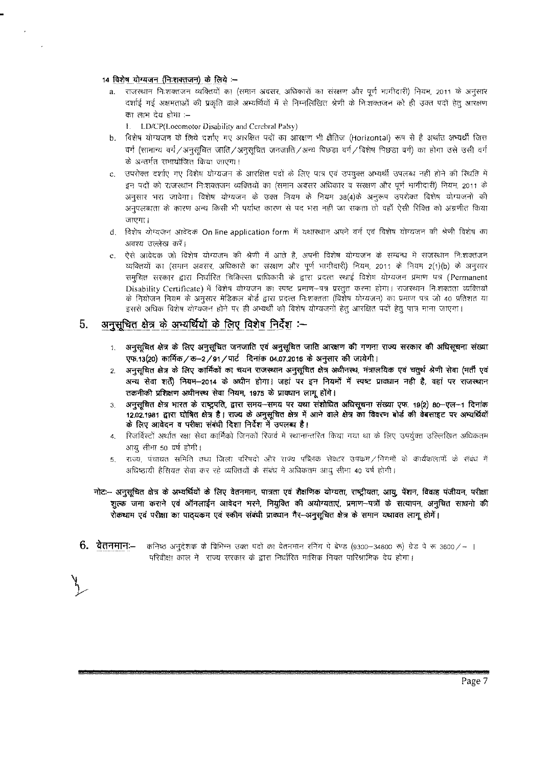### 14 विशेष योग्यजन (निःशक्तजन) के लिये :--

 $\hat{\mathbf{v}}$ 

- a. राजस्थान निःशक्तजन व्यक्तियों का (समान अवसर, अधिकारों का संरक्षण और पूर्ण भागीदारी) नियम, 2011 के अनुसार दर्शाई गई अक्षमताओं की प्रकृति वाले अभ्यर्थियों में से निम्नलिखित श्रेणी के निःशक्तजन को ही उक्त पदों हेत् आरक्षण का लाभ देय होगा $:=$ 
	- I. LD/CP(Locomotor Disability and Cerebral Palsy)
- b. विशेष योग्यजन के लिये दर्शाए गए आरक्षित पदों का आरक्षण भी क्षैतिज (Horizontal) रूप से है अर्थात अभ्यर्थी जिस यर्ग (सामान्य वर्ग/अनुसूचित जाति/अनुसूचित जनजाति/अन्य पिछड़ा वर्ग/विशेष पिछड़ा वर्ग) का होगा उसे उसी वर्ग के अन्तर्गत समायोजित किया जाएगा।
- c. जपरोक्त दर्शाए गए विशेष योग्यजन के आरक्षित पदों के लिए पात्र एवं उपयुक्त अभ्यर्थी उपलब्ध नहीं होने की स्थिति में इन पदों को राजस्थान निःशक्तजन व्यक्तियों का (समान अवसर अधिकार व संरक्षण और पूर्ण भागीदारी) नियम, 2011 के अनुसार भरा जावेगा। विशेष योग्यजन के उक्त नियम के नियम 38(4)के अनुरूप उपरोक्त विशेष योग्यजनों की अनुपलब्धता के कारण अन्य किसी भी पर्याप्त कारण से पद भरा नहीं जा सकता तो वहाँ ऐसी रिक्ति को अग्रणीत किया जाएगा ।
- d. विशेष योग्यजन आवेदक On line application form में यथास्थान अपने वर्ग एवं विशेष योग्यजन की श्रेणी विशेष का अवश्य सल्लेख करें।
- e. ऐसे आवेदक जो विशेष योग्यजन की श्रेणी में आते है, अपनी विशेष योग्यजन के सम्बन्ध में राजस्थान निःशक्तजन <sup>~</sup> Cji1 (X'll1A" 31CRR, <sup>~</sup> CIiT xRll-TUT 3i'R T'f •.~) f.'1<:r:r, 2011 *cj)* f.1<!ll 2 (1)(b) *cj) ~* समुचित सरकार द्वारा निर्धारित चिकित्सा प्राधिकारी के द्वारा प्रदत्त स्थाई विशेष योग्यजन प्रमाण पत्र (Permanent Disability Certificate) में विशेष योग्यजन का स्पष्ट प्रमाण-पत्र प्रस्तुत करना होगा। राजस्थान निःशक्तता व्यक्तियों के नियोजन नियम के अनुसार मेडिकल बोर्ड द्वारा प्रदत्त निःशक्तता (विशेष योग्यजन) का प्रमाण पत्र जो 40 प्रतिशत या इससे अधिक विशेष योग्यजन होने पर ही अभ्यर्थी को विशेष योग्यजनों हेत् आरक्षित पदों हेत् पात्र माना जाएगा।

### $5.$   $\,$  अनसचित क्षेत्र के अभ्यर्थियों के लिए विशेष निर्देश :—

- 1. अनुसूचित क्षेत्र के लिए अनुसूचित जनजाति एवं अनुसूचित जाति आरक्षण की गणना राज्य सरकार की अधिसूचना संख्या एफ.13(20) कार्मिक / क-2 / 91 / पार्ट दिनांक 04.07.2016 के अनुसार की जायेगी।
- 2. अनुसूचित क्षेत्र के लिए कार्मिकों का चयन राजस्थान अनुसूचित क्षेत्र अधीनस्थ, मंत्रालयिक एवं चतुर्थ श्रेणी सेवा (भर्ती एवं अन्य सेवा शर्तें) नियम-2014 के अधीन होगा। जहां पर इन नियमों में स्पष्ट प्रावधान नही है, वहां पर राजस्थान तकनीकी प्रशिक्षण अधीनस्थ सेवा नियम, 1975 के प्राक्धान लागू होंगे।
- 3. जनसचित क्षेत्र भारत के राष्ट्रपति, द्वारा समय- समय पर यथा संशोधित अधिसूचना संख्या एफ. 19(2) 80-~एल--1 दिनांक 12.02.1981 द्वारा घोषित क्षेत्र है। राज्य के अनुसुचित क्षेत्र में आने वाले क्षेत्र का विवरण बोर्ड की वेबसाइट पर अभ्यर्थियों के लिए आवेदन व परीक्षा संबंधी दिशा निर्देश में उपलब्ध है।
- 4. रिजर्विस्टों अर्थात रक्षा सेवा कार्मिको जिनको रिजर्व में स्थानान्तरित किया गया था के लिए उपर्युक्त उल्लिखित अधिकतम आय सीमा 50 वर्ष होगी।
- 5. राज्य, पंचायत समिति तथा जिला परिषदो और राज्य पब्लिक सेक्टर उपकम / निगमों के कार्यकलापों के संबंध में अधिष्ठायी हैसियत सेवा कर रहे व्यक्तियों के संबंध में अधिकतम आयु सीमा 40 वर्ष होगी।
- नोट:- अनुसूचित क्षेत्र के अभ्यर्थियों के लिए वेतनमान, पात्रता एवं शैक्षणिक योग्यता, राष्ट्रीयता, आयु, पेंशन, विवाह पंजीयन, परीक्षा शुल्क जमा कराने एवं ऑनलाईन आवेदन भरने, नियुक्ति की अयोग्यताएं, प्रमाण--पत्रों के सत्यापन, अनुचित साधनो की रोकथाम एवं परीक्षा का पाद्यकम एवं स्कीम संबंधी प्राक्धान गैर-अनुसूचित क्षेत्र के समान यथावत लागू होगें।
- $6.$  **वेतनमान:** कनिष्ठ अनुदेशक के विभिन्न उक्त पदों का वेतनमान रनिंग पे बेण्ड (9300-34800 रू) ग्रेड पे रू 3600/- । परिवीक्षा काल में राज्य सरकार के द्वारा निर्धारित मासिक नियत पारिश्रामिक देय होगा।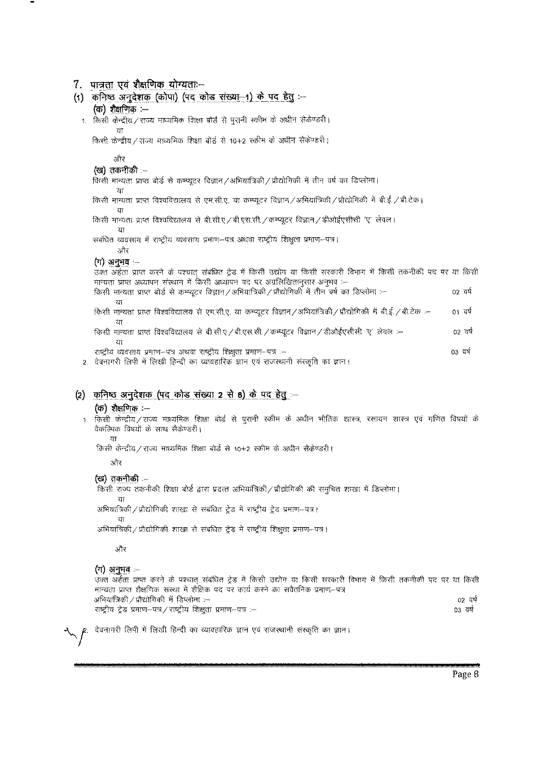7. पात्रता एवं शैक्षणिक योग्यताः-

(1) **कनिष्ठ अनुदेशक (कोपा) (पद कोड संख्या-1) <u>के पद हेतु</u> :--**

### **(m") ~:-**

1. किसी केन्द्रीय / राज्य माध्यमिक शिक्षा बोर्ड से पुरानी स्कीम के अधीन सैकेण्डरी। या

किसी केन्द्रीय / राज्य माध्यमिक शिक्षा बोर्ड से 10+2 स्कीम के अधीन सैकेण्डरी।

ओर

### **~) dCfl<?lcGl:-**

- $\frac{1}{2}$ किसी मान्यता प्राप्त बोर्ड से कम्प्यूटर विज्ञान / अभियात्रिकी / प्रौद्योगिकी में तीन वर्ष का डिप्लोमा।
- या किसी मान्यता प्राप्त विश्वविद्यालय से एम.सी.ए. या कम्प्यूटर विज्ञान /अभियांत्रिकी / प्रौद्योगिकी में बी.ई. / बी.टेक।
	- या
- किसी मान्यता प्राप्त विश्वविद्यालय से बी.सी.ए / बी.एस.सी. / कम्प्यूटर विज्ञान / डीओईएसीसी 'ए' लेवल। राा
- संबंधित व्यवसाय में राष्ट्रीय व्यवसाय प्रमाण-पत्र अथवा राष्ट्रीय शिक्षुता प्रमाण-पत्र।
	- ओर

### (ग) अनुमव :--

\3Cm 31tm <sup>~</sup> ro cfl <sup>~</sup> <sup>~</sup> <sup>~</sup> -q <sup>~</sup> <sup>~</sup> <:IT <sup>~</sup> <sup>~</sup> fcr-wr -q <sup>~</sup> <sup>~</sup> <sup>~</sup> 1R <IT fcpff) मान्यता प्राप्त अध्यापन संस्थान में किसी अध्यापन पद पर अग्रलिखितानुसार अनुभव :-~ l1Rl\11 mc<l orrn ~ ~ ~/~/~~difi'lc51 -q ~ ~ cpr ~ :- 02 CJ1i

<IT किसी मान्यता प्राप्त विश्वविद्यालय से एम.सी.ए. या कम्प्यूटर विज्ञान /अभियांत्रिकी /प्रौद्योगिकी में बी.ई. /बी.टेक :-- 01 वर्ष या fcrm 1'fRmT ~ fc1!;!Clfc1t11M11~ <ftm17/<ft.~.m./~ ~/~3il~C!{~hfl '17'~ :- <sup>02</sup> CJ1i m

~ mcmm >r=fTUT-1:f"1 31~TC\T~ fu~ >r=fTUT-1:f"1- 03 ~ 2. देवनागरी लिपी में लिखी हिन्दी का व्यावहारिक ज्ञान एवं राजस्थानी संस्कृति का ज्ञान।

### (2) कनिष्ठ अनुदेशक (पद कोड संख्या 2 से 8) के पद हेतु :--

### **(cP) ~:-**

- 1. किसी केन्द्रीय ⁄ राज्य माध्यमिक शिक्षा बोर्ड से पुरानी स्कीम के अधीन भौतिक शास्त्र, रसायन शास्त्र एवं गणित विषयों के वैकल्पिक विषयों के साथ सैकेण्डरी।
	- या
	- किसी केन्द्रीय / राज्य माध्यमिक शिक्षा बोर्ड से 10+2 स्कीम के अधीन सैकेण्डरी।

और

### **(ख) तकनीकी** :--

किसी राज्य तकनीकी शिक्षा बोर्ड द्वारा प्रदत्त अभियांत्रिकी / प्रौद्योगिकी की समुचित शाखा में डिप्लोमा।

या अभियांत्रिकी/प्रौद्योगिकी शाखा से संबंधित ट्रेड में राष्ट्रीय ट्रेड प्रमाण-पत्र।

m

अभियांत्रिकी / प्रौद्योगिकी शाखा से संबंधित ट्रेड में राष्ट्रीय शिक्षुता प्रमाण--पत्र।

और

### (ग) अनुमव *-*--

उक्त अर्हता प्राप्त करने के पश्चात् संबंधित ट्रेड में किसी उद्योग या किसी सरकारी विभाग में किसी तकनीकी पद पर या किसी मान्यता प्राप्त शैक्षणिक संस्था में शैक्षिक पद पर कार्य करने का सवैतनिक प्रमाण--पत्र  $3\theta$ यात्रिकी / प्रौद्योगिकी में डिप्लोमा $\sim$   $\frac{1}{2}$  -q  $\frac{1}{2}$  -contract to  $\frac{1}{2}$  and  $\frac{1}{2}$  -contract to  $\frac{1}{2}$  and  $\frac{1}{2}$  -contract to  $\frac{1}{2}$  and  $\frac{1}{2}$  -contract to  $\frac{1}{2}$  and  $\frac{1}{2}$  -co राष्ट्रीय ट्रेड प्रमाण--पत्र/राष्ट्रीय शिक्षुता प्रमाण--पत्र :--

देवनागरी लिपी में लिखी हिन्दी का व्यावहारिक ज्ञान एवं राजस्थानी संस्कृति का ज्ञान।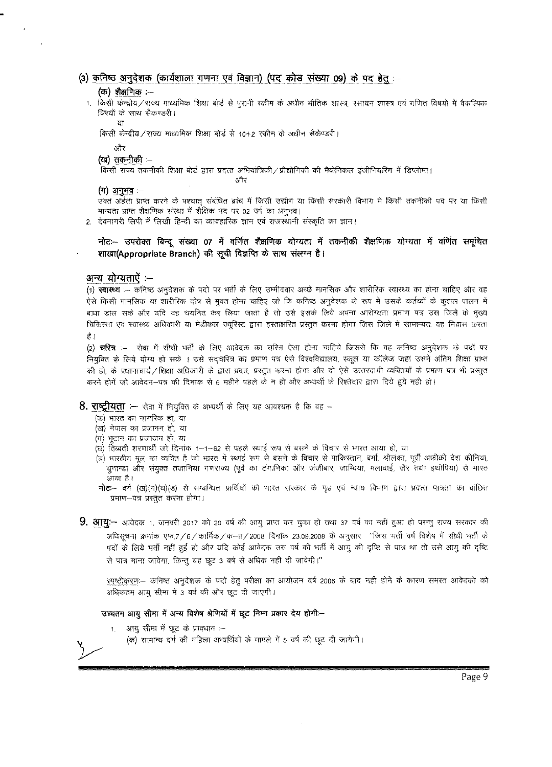### (3) कनिष्ठ अनुदेशक (कार्यशाला गणना एवं विज्ञान) (पद कोड संख्या 09) के पद हेतु :-

### **(q» ~:-**

1. किसी केन्द्रीय ⁄ राज्य माध्यमिक शिक्षा बोर्ड से पुरानी रकीम के अधीन भौतिक शास्त्र, रसायन शास्त्र एवं गणित विषयों में वैकल्पिक विषयों के साथ सैकण्डरी।

था

किसी केन्द्रीय / राज्य माध्यमिक शिक्षा बोर्ड से 10+2 स्कीम के अधीन सेकेण्डरी।

और

### (ख) तकनीकी :--

 $\frac{1}{2}$ किसी राज्य तकनीकी शिक्षा बोर्ड द्वारा प्रदत्त अभियांत्रिकी / प्रौद्योगिकी की मैकेनिकल इंजीनियरिंग में डिप्लोमा।

Jih'

### **(71") ~:-**

उक्त अर्हता प्राप्त करने के पश्चात् संबंधित ब्रांच में किसी उद्योग या किसी सरकारी विभाग में किसी तकनीकी पद पर या किसी मान्यता प्राप्त शैक्षणिक संख्या में शैक्षिक पद पर 02 वर्ष का अनुभव।

2. देवनागरी लिपी में लिखी हिन्दी का व्यावहारिक ज्ञान एवं राजस्थानी संस्कृति का ज्ञान।

### **.nc:- ~ ~ msm 07 ~ ~ ~ ~ ~ oCf>"11cG\ <sup>~</sup> <sup>~</sup> <sup>~</sup> <sup>~</sup> <sup>~</sup>** ~(Appropriate **Branch) "cG\" wfi ~** cfi <sup>~</sup> <sup>~</sup> <sup>~</sup> I

### अन्य योग्यताऐं :--

(1) **स्वास्थ्य** :-- कनिष्ठ अनुदेशक के पदों पर भर्ती के लिए उम्मीदवार अच्छे मानसिक और शारीरिक स्वास्थ्य का होना चाहिए और वह ऐसे किसी मानसिक या शारीरिक दोष से मुक्त होना चाहिए जो कि कनिष्ठ अनुदेशक के रूप में उसके कर्तव्यों के कुशल पालन में x:r raxin minister on xircincer and xi gast on mox on the strips organist are computed account an again and re<br>बाधा डाल सके और यदि वह चयनित कर लिया जाता है तो उसे इसके लिये अपना आरोग्यता प्रमाण पत्र उस जिले के मु चिकित्सा एवं स्वास्थ्य अधिकारी या मेडीकल ज्यूरिस्ट द्वारा हस्ताक्षरित प्रस्तुत करना होगा जिस जिले में सामान्यतः वह निवास करता है ।

(2) **चरित्र** :--- सेवा में सीधी भर्ती के लिए आवेदक का चरित्र ऐसा होना चाहिये जिससे कि वह कनिष्ठ अनुदेशक के पदों पर नियुक्ति के लिये योग्य हो सके । उसे सद्*च*रित्र का प्रमाण पत्र ऐसे विश्वविद्यालय, स्कूल या कॉलेज जहां उसने अंतिम शिक्षा प्राप्त की हो, के प्रधानाचार्य/शिक्षा अधिकारी के द्वारा प्रदत्त, प्रस्तुत करना होगा और दो ऐसे उत्तरदायी व्यक्तियों के प्रमाण पत्र भी प्रस्तुत करने होगें जो आवेदन—पत्र की दिनांक से 6 महीने पहले के न हो और अभ्यर्थी के रिश्तेदार द्वारा दिये हुये नही हो।

### $8.$  **राष्ट्रीयता :-** सेवा में नियुक्ति के अभ्यर्थी के लिए यह आवश्यक है कि वह -

- (क) भारत का नागरिक हो, या
- *(ख)* नेपाल का प्रजानन हो, या
- (ग) भूटान का प्रजाजन हो, या
- (घ) तिब्बती शरणार्थी जो दिनांक 1--1-62 से पहले स्थाई रूप से बसने के विचार से भारत आया हो, या
- (ड) भारतीय मूल का व्यक्ति है जो भारत में स्थाई रूप से बसने के विचार से पाकिस्तान, बर्मा, श्रीलंका, पूर्वी अफ्रीकी देश कीनिया, युगान्डा और संयुक्त तंजानिया गणराज्य (पूर्व का टंगानिका और जंजीबार, जाम्विया, मलावाई, जैर तथा इथोपिया) से भारत आया है।
- **नोट:--** वर्ग (ख)(ग)(घ)(ड) से सम्बन्धित प्रार्थियों को भारत सरकार के गृह एवं न्याय विभाग द्वारा प्रदत्त पात्रता का वांछित प्रमाण-पत्र प्ररत्**त करना होगा**।
- 9. आयः— आवेदक 1, जनवरी 2017 को 20 वर्ष की आयु प्राप्त कर चुका हो तथा 37 वर्ष का नहीं हुआ हो परन्तु राज्य सरकार की अधिसूचना क्रमांक एफ.7/6/कार्मिक/क--T/2008 दिनांक 23.09.2008 के अनुसार ''जिस भर्ती वर्ष विशेष में सीधी भर्ती के पदों के लिये भर्ती नहीं हुई हो और यदि कोई आवेदक उस वर्ष की भर्ती में आयु की दृष्टि से पात्र था तो उसे आयु की दृष्टि से पात्र माना जावेगा, किन्तु यह छूट 3 वर्ष से अधिक नहीं दी जावेगी।"

स्पष्टीकरणः-- कनिष्ठ अनुदेशक के पदों हेतु परीक्षा का आयोजन वर्ष 2006 के बाद नहीं होने के कारण समस्त आवेदकों को अधिकतम आयु सीमा में 3 वर्ष की और छूट दी जाएगी।

### उच्चतम आयु सीमा में अन्य विशेष श्रेणियों में छूट निम्न प्रकार देय होगी :-

- 1. आयु सीमा में छूट के प्रावधान :--
	- (क) सामान्य वर्ग की महिला अभ्यर्थियों के मामले में 5 वर्ष की छूट दी जायेगी।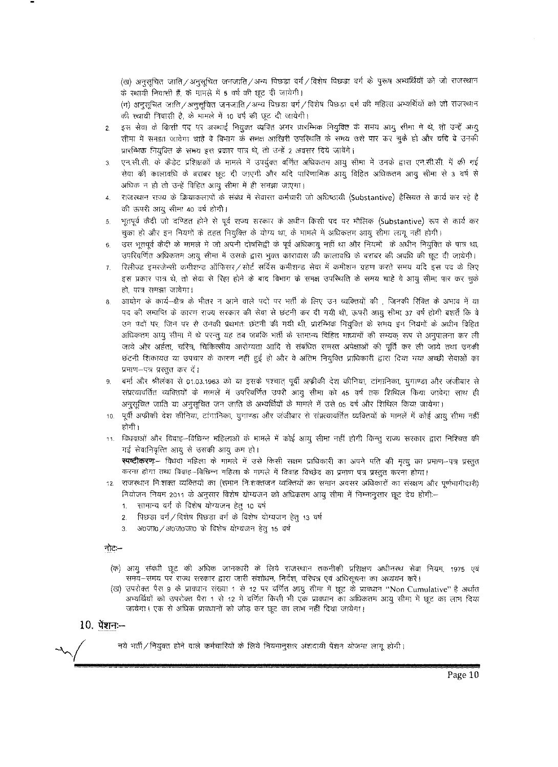(ख) अनुसूचित जाति / अनुसूचित जनजाति / अन्य पिछड़ा वर्ग / विशेष पिछड़ा वर्ग के पुरूष अभ्यर्थियों को जो राजस्थान के स्थायी निवासी हैं, के मामले में 5 वर्ष की छूट दी जायेगी।

(ग) अनुसूचित जाति / अनुसूचित जनजाति / अन्य पिछड़ा वर्ग / विशेष पिछड़ा वर्ग की महिला अभ्यर्थियों को जो राजस्थान की स्थायी निवासी है, के मामले में 10 वर्ष की छूट दी जायेगी।

- इस सेवा के किसी पद पर अस्थाई नियुक्त व्यक्ति अगर प्रारम्भिक नियुक्ति के समय आयु सीमा में थे, तो उन्हें आयु सीमा में समझा जावेगा चाहे वे विभाग के समक्ष आखिरी उपस्थिति के समय उसे पार कर चुके हो और यदि वे उनकी प्रारम्भिक नियुक्ति के समय इस प्रकार पात्र थे, तो उन्हें 2 अवसर दिये जावेंगे।
- एन.सी.सी. के केंडेट प्रशिक्षकों के मामले में उपर्युक्त वर्णित अधिकतम आयु सीमा में उनके द्वारा एन.सी.सी. में की गई  $3<sub>l</sub>$ सेवा की कालावधि के बराबर छूट दी जाएगी और यदि पारिणामिक आयू विहित अधिकतम आयू सीमा से 3 वर्ष से अधिक न हो तो उन्हें विहित आयु सीमा में ही समझा जाएगा।
- राजस्थान राज्य के क्रियाकलापों के संबंध में सेवारत कर्मचारी जो अधिष्ठायी (Substantive) हैसियत से कार्य कर रहे है  $\overline{4}$ की ऊपरी आयू सीमा 40 वर्ष होगी।
- भूतपूर्व केंदी जो दण्डित होने से पूर्व राज्य सरकार के अधीन किसी पद पर मौलिक (Substantive) रूप से कार्य कर 5. चुका हो और इन नियमों के तहत नियुक्ति के योग्य था, के मामले में अधिकतम आयु सीमा लागू नहीं होगी।
- उस भूतपूर्व केंदी के मामले में जो अपनी दोषसिद्वी के पूर्व अधिकायू नहीं था और नियमों के अधीन नियुक्ति के पात्र था, 6. उपरिवर्णित अधिकतम आयु सीमा में उसके द्वारा भुक्त कारावास की कालावधि के बराबर की अवधि की छूट दी जायेगी।
- रिलीज्ड इमरजेन्सी कमीशन्ड ऑफिसर/सोर्ट सर्विस कमीशन्ड सेवा में कमीशन ग्रहण करते समय यदि इस पद के लिए  $7.$ इस प्रकार पात्र थे, तो सेवा से रिहा होने के बाद विभाग के समक्ष उपस्थिति के समय चाहे वे आयु सीमा पार कर चुके हो, पात्र समझा जावेगा।
- आयोग के कार्य--क्षेत्र के भीतर न आने वाले पदों पर भर्ती के लिए उन व्यक्तियों की , जिनकी रिक्ति के अभाव में या पद की समाप्ति के कारण राज्य सरकार की सेवा से छंटनी कर दी गयी थी, ऊपरी आयु सीमा 37 वर्ष होगी बशर्तें कि वे उन पदों पर, जिन पर से उनकी प्रथमतः छंटनी की गयी थी, प्रारम्भिक नियुक्ति के समय इन नियमों के अधीन विहित अधिकतम आयु सीमा में थे परन्तु यह तब जबकि भर्ती के सामान्य विहित माध्यमों की सम्यक् रूप से अनुपालना कर ली जाये और अर्हता, चरित्र, चिकित्सीय आरोग्यता आदि से संबंधित समस्त अपेक्षाओं की पूर्ति कर ली जाये तथा उनकी छंटनी शिकायत या उपचार के कारण नहीं हुई हो और वे अंतिम नियुक्ति प्राधिकारी द्वारा दिया गया अच्छी सेवाओं का प्रमाण-पत्र प्रस्तुत कर दें।
- बर्मा और श्रीलंका से 01.03.1963 को या इसके पश्चात पूर्वी अफ्रीकी देश कीनिया, टांगानिका, युगाण्डा और जंजीबार से 9. संप्रत्यावर्तित व्यक्तियों के मामलें में उपरिवर्णित उपरी आयु सीमा को 45 वर्ष तक शिथिल किया जावेगा साथ ही अनुसूचित जाति या अनुसूचित जन जाति के अभ्यर्थियों के मामले में उसे 05 वर्ष और शिथिल किया जायेगा।
- 10. पूर्वी अफ्रीकी देश कीनिया, टांगानिका, युगाण्डा और जंजीबार से संप्रत्यावर्तित व्यक्तियों के मामलें में कोई आयू सीमा नहीं होगी।
- 11. विधवाओं और विवाह–विछिन्न महिलाओं के मामले में कोई आयु सीमा नहीं होगी किन्तु राज्य सरकार द्वारा निश्चित की गई सेवानिवृत्ति आयु से उसकी आयु कम हो।

स्पष्टीकरणः- विधवा महिला के मामले में उसे किसी सक्षम प्राधिकारी का अपने पति की मृत्यु का प्रमाण-पत्र प्रस्तुत करना होगा तथा विवाह-विछिन्न महिला के मामले में विवाह विच्छेद का प्रमाण पत्र प्रस्तुत करना होगा।

- 12. राजस्थान निःशक्त व्यक्तियों का (समान निःशक्तजन व्यक्तियों का समान अवसर अधिकारों का संरक्षण और पूर्णभागीदारी) नियोजन नियम 2011 के अनुसार विशेष योग्यजन को अधिकतम आयु सीमा में निम्नानुसार छूट देय होगी -
	- -सामान्य वर्ग के विशेष योग्यजन हेतु 10 वर्ष
	- पिछड़ा वर्ग/विशेष पिछड़ा वर्ग के विशेष योग्यजन हेतु 13 वर्ष  $\overline{2}$ .
	- अ0जा0/अ0ज0जा0 के विशेष योग्यजन हेतु 15 वर्ष  $\mathcal{R}$

नोट:–

- (क) आयु संबंधी छूट की अधिक जानकारी के लिये राजस्थान तकनीकी प्रशिक्षण अधीनस्थ सेवा नियम, 1975 एवं समय-समय पर राज्य सरकार द्वारा जारी संशोधन, निर्देश, परिपत्र एवं अधिसूचना का अध्ययन करें।
- (ख) उपरोक्त पैरा 9 के प्राक्धान संख्या 1 से 12 पर वर्णित आयु सीमा में छूट के प्राक्धान "Non Cumulative" है अर्थात अभ्यर्थियों को उपरोक्त पैरा 1 से 12 में वर्णित किसी भी एक प्राक्धान का अधिकतम आयु सीमा में छूट का लाग दिया जायेगा। एक से अधिक प्रावधानों को जोड़ कर छूट का लाभ नहीं दिया जायेगा।

 $10.$  पेंशनः-

नये भर्ती/नियुक्त होने वाले कर्मचारियों के लिये नियमानुसार अंशदायी पेंशन योजना लागू होगी।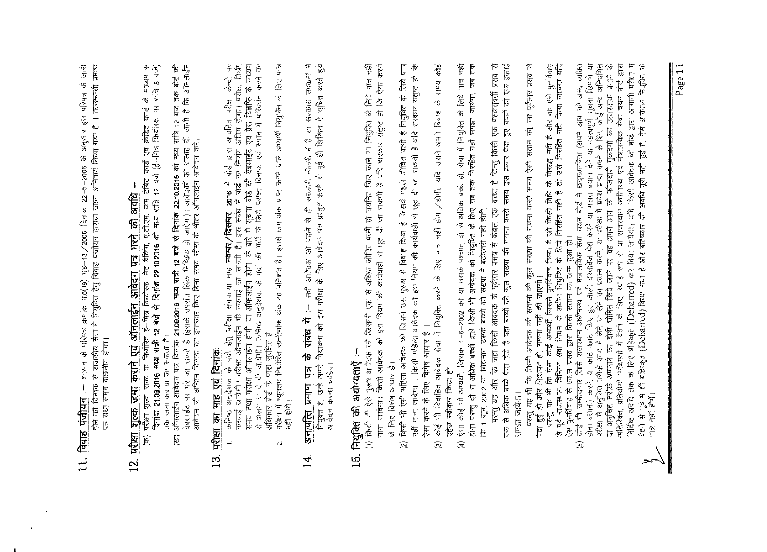$P_{\rm c}$   $\approx$ इस परिपत्र<br>! | तत्सम्बन्ध अनुसार इ<br>ग गया है 1<del>8</del> අ  $~\phi~$ ~ ~ 6 दिन<br>कराया 13 / 200<br>पंजीयन ) मृह−13<br>∵विवाह प ४ क्रमांक प.6(1)<br>- में नियुक्ति हेर् :— शासन के परिपत्र <del>:</del><br>'नांक से राजकीय सेवा मे<br>|मय वांछनीय होगा |  $\vec{F}$  뿐 한  $\frac{1}{2}$ l. विवाह पंजीय .....-4 .....-4

# .....-4

- - ত্ৰি

### $\sim$  0 c.  $\mathbb{C}$

- सध्यम से<br>क्रिकेट कोर्ड की<br>क्रिका निर्धा निर्धा<br>केन्द्रों पर<br>केन्द्रों करने का<br>- लिए पात्र<br>- लिए पात्र एवं क्रोडेट कार्ड के<br>मेत्र कियोंस्क पर राजि<br>हर दी जाती है कि<br>गह दी जाती है कि<br>रि एवं प्रेस विज्ञपित<br>दैर एवं स्थान में परिवर्तन<br>बं स्थान में सुवित के<br>भें है या सरकारी ल्ड एव झक्त<br>इ--मित्र क्या नाम्य रानि<br>सलाह दी<br>निर्णय आसी आसी आसी नाम्य पर्व करी में है<br>लिकिस करी में है – ग्राह कार्ड एवं<br>2 बजे (ई−मित्र<br>2016 को सत्साह<br>एंगे आवेदन को बेबसाईट<br>मैं बोले बेबसाईट<br>1 किसे वाले अप<br>F किसे नौकरी में 1 अवधि –<br>म, कम उंदिर कार्ड<br>य रात्रि 22.10.2016 को<br>एक 21.10.2016 को स<br>सर, 2016 में बोर्ड का मि<br>सरना कोर्ड की खरकारी नौकर्र<br>लेक प्राप्त करने वाल्ड<br>अंक प्राप्त करने से पूर्व<br>1 ही सरकारी नौकर्र **भारने की अट**<br>ला को मध्य राम<br>16 को सध राणि<br>2 हो जाऐगा) । 3<br>है। इस संबद्ध ?<br>- भारत के पोस्न ?<br>- भारत कम अंक<br>इससे कम अंक<br>यो पहले से ही **ITEL में के मेरनी 12 बाजे 12 बाजे 12 बाजे 12 बाजे 12 बाजे 12 बाजे से 12 बाजे से 12 बाजे से 12 को से से से हम द<br>- लिंक निष्किय हो -<br>बिना समय सीमा बे<br>- प्रतिशत होगी, के बारे<br>- प्रतिशत है | इससे<br>- प्रतिशत है | इससे भी सिर अ** ~I~ N Jg *~'W1&'1&-* **दुन आदे**द<br>7 कियोस्क,<br>**1 से दिनांक**<br>**1 किए किए बिन कियाई जाने किए बिन किए बिन कर साथ से लिए बाद के बाद जाएंगा।<br>1 करवाई जाने के 40 प्रति के अंक 40 प्रति के अंक<br>अंक 40 प्रति के ITT लाई-ने 31**<br>रेत ई-मित्र किये<br>मैं 12 बजे से दिसके उपरांत<br>है (इसके उपरांत<br>साईन भी करयात्र किए<br>कारिया के दौरी में :-- स<br>कविष्य में :-- स  $\frac{1}{2}$ <br>  $\frac{1}{2}$ <br>  $\frac{1}{2}$ <br>  $\frac{1}{2}$ <br>  $\frac{1}{2}$ <br>  $\frac{1}{2}$ <br>  $\frac{1}{2}$ <br>  $\frac{1}{2}$ <br>  $\frac{1}{2}$ <br>  $\frac{1}{2}$ <br>  $\frac{1}{2}$ <br>  $\frac{1}{2}$ <br>  $\frac{1}{2}$ <br>  $\frac{1}{2}$ <br>  $\frac{1}{2}$ <br>  $\frac{1}{2}$ <br>  $\frac{1}{2}$ <br>  $\frac{1}{2}$ <br>  $\frac{1}{2}$ <br>  $\frac{1}{2}$ <br>  $\frac{1}{25}$   $\frac{1}{25}$   $\frac{1}{25}$   $\frac{1}{25}$   $\frac{1}{25}$   $\frac{1}{25}$   $\frac{1}{25}$   $\frac{1}{25}$   $\frac{1}{25}$   $\frac{1}{25}$   $\frac{1}{25}$   $\frac{1}{25}$   $\frac{1}{25}$   $\frac{1}{25}$   $\frac{1}{25}$   $\frac{1}{25}$   $\frac{1}{25}$   $\frac{1}{25}$   $\frac{1}{25}$   $\frac{1}{25}$  **ISIM ax**<br>**21.08.2016**<br>F and a sheet of a sheet of a<br>*E* er and of the sheet of and an external distribution<br>of a sheet of a contract field<br> $\frac{1}{\sqrt{2}}\sum_{\substack{q=1\\ q \equiv 0 \pmod{3}}}^{\infty} \frac{1}{\sqrt{2}}\sum_{\substack{q=1\\ q \equiv 0 \pmod{3}}}^{\infty} \frac{1}{\$  $\ddot{\phantom{1}}$ 
	- $\vec{\mathbf{N}}$
- 

## .<br>15.

- <mark>नियुक्ति की अयोग्यताऐं :--</mark><br>(1) किसी भी ऐसे पुरूष आवेदक को जिसकी एक से अधिक जीतित किए जाने या नियुक्ति के लिये पात्र नहीं
- माना जायेगा। किसी आवेदक को इस नियम की कार्यवाही से छूट दी जा सकती है यदि सरकार संतुष्ट हो कि ऐसा करने<br>के लिए विशेष आधार है।<br>किसी भी ऐसी महिला आवेदक को जिसने उस पुरुष से विवाह किया है जिसके पहले जीवित पत्नी है नियुक्ति के
- 
- 
- कोर्ड भी विवाहित आवेदक सेवा में नियुक्ति करने के लिए पात्र नहीं होगा / होगी, यदि उसने अपने विवाह के समय कोर्ड<br>रस्जा स्वीक्रम की अपर्थी, जिसके 1-6-2002 को या उसके परचात दो से अधिक बच्चे हो, सेवा में नियुक्ति के लिये पात्र रेसा करने के लिए विशेष आप्रार है ।<br>स्तु करने के लिए विशेष आप्रार है ।<br>दर्दल स्वीकार किया है ।<br>दर्दल सर्वेकार किया है ।<br>दिन कर दी से अधिक बच्चों वाले किसी भी अवेदक को नियुक्ति के लिए जब लक निर्शेल नहीं समझा जायेगा. जब तक<br>ह

'<br>'파티 공원 및 작용 및 함께 및 관계<br>'자리 기술 및 제공 및 관계 및 관계  $\frac{1}{10}$   $\frac{1}{10}$   $\frac{1}{10}$   $\frac{1}{10}$   $\frac{1}{10}$   $\frac{1}{10}$   $\frac{1}{10}$   $\frac{1}{10}$   $\frac{1}{10}$   $\frac{1}{10}$   $\frac{1}{10}$   $\frac{1}{10}$   $\frac{1}{10}$   $\frac{1}{10}$   $\frac{1}{10}$   $\frac{1}{10}$   $\frac{1}{10}$   $\frac{1}{10}$   $\frac{1}{10}$   $\frac{1}{10}$  से लिये पात्र<br>हो कि ऐसा र<br>कार संतुष्ट हो<br>कार संतुष्ट हो<br>कार संतुष्ट हो<br>किया जायेगा, जब<br>बह ऐसे पुनला किया जायेगा<br>पुरस्का किया जायेगा<br>पुरस्का कीयुक्ति<br>पावेदक नियुक्ति रेल के तिथे ये लिये म<br>मिथुवित के लिया संघार संघुष्ट<br>सरकार संघुष्ट<br>कित के लिये पा जायेगा, ज<br>बिता के समात्वादी प्रकार पुर्वत्तर प्रकार के समाप्त का पार्थन के पुर्वता के पुर्वता क<br>है, जो पूर्वता जायेगा आप को अन्य की<br>ही अवेदक ान या नियुक्त क<br>सरकार संतुष्ट हो<br>केत पत्नी है यदि सरकार<br>की दे यदि समझा ज<br>डिल नहीं समझा ज<br>डिल पैदा हुए बच्चों<br>करने के लिए कोई र<br>सरसे के लिए कोई र<br>सरसे के लिए कोई र<br>मालयिक सेवा व<br>मिं हुई है, ऐसे आदेत केए जाने या नियुक्ति सांचिक<br>उपदि सरकती है यदि र सुरे भांदे मुक्त<br>जा सकती है यदि र संत भी क्षयति है।<br>हाँ, सेवा में नियुक्ति<br>है किन्तु किसी संतान की,<br>समारे से या नहत्वपूर्<br>पाप्त करने के लिए<br>आवेदक को बौर्ड हूँ है, ऐसे<br>अपवेदक 1 चयनित किए ज<br>मा सकती है यदि<br>से छूट दी जा सक<br>सीर तब चका है कि .<br>रिल बच्चा है कि .<br>रिल बच्चा है कि .<br>रिल बच्चा है कि .<br>रिल की सीर की अपीनस्थी एवं<br>मा की अपीनस्थ एवं<br>मा की अपीनस्थ एवं<br>सीर किसी आवेदारी  $\frac{1}{10}$  are property of the second that the second the second the second the second the second the second the second the second the second the second the second the second the second the second the second term  $\frac{1}{10$ . अधिक जीतित पत्नी हो<br>कार्यवाही से छूट दी जा<br>रूष से वियाह किया है है<br>से के लिए पात्र नहीं हो।<br>संख्या में बढ़ांतरी नहीं हो के लिए<br>रियुलित के लिया है जो कि कि<br>ली किया है जो लिया हो नाएना<br>का जन्म हुआ हो।<br>मैं दस्तावेज सेवा च - एक से अधिक 5<br>राम की कार्यवाही<br>एम को इस नियम<br>के को इस नियम<br>के करने के लिए मुक्ति में बढ़ा के<br>दिक के पुर्वेत्स्क के लिए गया।<br>दिक सी की चुला थी नियुक्ति 5<br>सीना का जन्म<br>सीना का जन्म हुए आती दरतावे<br>सीना प्रयत्न 5<br>के लिए, स् ले जिसकी इस विस्तृत हो।<br>को इस विस्तृत आवेद को साथ है ।<br>लिए है ।<br>मैं मैं नियु किसी आवेद की बात के साथ है।<br>एक बात की बात की साथ किसी की साथ है।<br>है किसी की साथ किसी की बात की बात की बात की बात की बात करने बे<br>साथ किसी की बात r., in the state of the state of the state of the state of the state of the state of the state of the state of the state of the state of the state of the state of the state of the state of the state of the state of the st  $\frac{1}{2}$  is the star of the star of the star of the star of the star of the star of the star of the star of the star of the star of the star of the star of the star of the star of the star of the star of the star of the  $\frac{1}{2}$   $\frac{1}{2}$   $\frac{1}{2}$   $\frac{1}{2}$   $\frac{1}{2}$   $\frac{1}{2}$   $\frac{1}{2}$   $\frac{1}{2}$   $\frac{1}{2}$   $\frac{1}{2}$   $\frac{1}{2}$   $\frac{1}{2}$   $\frac{1}{2}$   $\frac{1}{2}$   $\frac{1}{2}$   $\frac{1}{2}$   $\frac{1}{2}$   $\frac{1}{2}$   $\frac{1}{2}$   $\frac{1}{2}$   $\frac{1}{2}$   $\frac{1}{2}$   $\hat{H}$  ऐसे पुरुष 3<br>विशेष आयोग । दिला आयोग । हिस आयोग । निर्देश सहित आयोग । दिला किया है<br>ने ऐसी सैवाहित आयोग है कि यह और दिला है<br>दौरान किया है , जिसका किया है , जिसका किया है ।<br>जिसमान किया है , जिसका सैवाहि से एक रहा है  $\frac{4}{10}$   $\frac{4}{10}$   $\frac{4}{10}$   $\frac{4}{10}$   $\frac{4}{10}$   $\frac{4}{10}$   $\frac{4}{10}$   $\frac{4}{10}$   $\frac{4}{10}$   $\frac{4}{10}$   $\frac{4}{10}$   $\frac{4}{10}$   $\frac{4}{10}$   $\frac{4}{10}$   $\frac{4}{10}$   $\frac{4}{10}$   $\frac{4}{10}$   $\frac{4}{10}$   $\frac{4}{10}$   $\frac{4}{10}$   $\frac{1}{10}$  d  $\frac{1}{10}$  d  $\frac{1}{10}$  d  $\frac{1}{10}$  d  $\frac{1}{10}$  d  $\frac{1}{10}$  d  $\frac{1}{10}$  d  $\frac{1}{10}$  d  $\frac{1}{10}$  d  $\frac{1}{10}$  d  $\frac{1}{10}$  d  $\frac{1}{10}$  d  $\frac{1}{10}$  d  $\frac{1}{10}$  d  $\frac{1}{10}$  d  $\frac{1}{10}$  d  $\frac{1}{10}$  d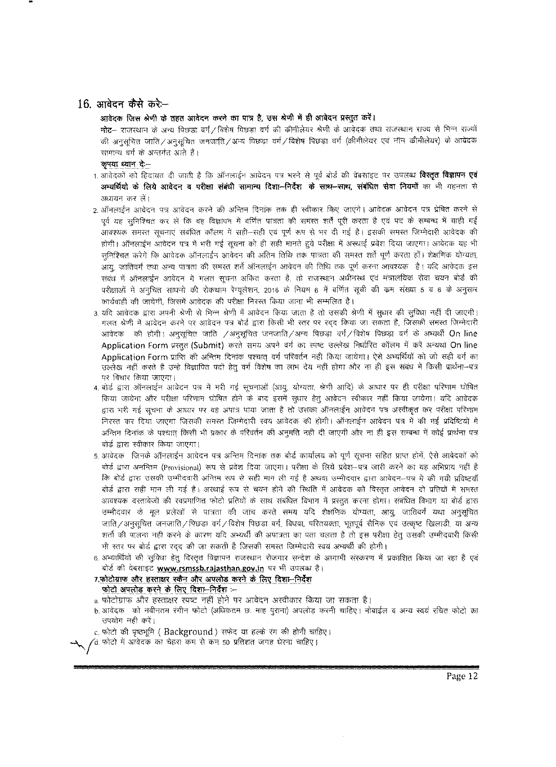### 16. आवेदन कैसे करे:--

### आवेदक जिस श्रेणी के तहत आवेदन करने का पात्र है, उस श्रेणी में ही आवेदन प्रस्तुत करें।

नोट- राजरथान के अन्य पिछड़ा वर्ग / विशेष पिछड़ा वर्ग की कीमीलेयर श्रेणी के आवेदक तथा राजस्थान राज्य से मिन्न राज्यों की अनुसूचित जाति / अनुसूचित जनजाति / अन्य पिछड़ा वर्ग / विशेष पिछड़ा वर्ग (क्रीमीलेयर एवं नॉन कीमीलेयर) के आवेदक सामान्य वर्ग के अन्तर्गत आते हैं।

कृपया ध्यान दे.-

- 1. आवेदकों को हिदायत दी जाती है कि ऑनलाईन आवेदन पत्र भरने से पूर्व बोर्ड की वेबसाइट पर उपलब्ध **विस्तृत विज्ञापन एवं** अभ्यर्थियों के लिये आवेदन व परीक्षा संबंधी सामान्य दिशा-निर्देश के साथ-साथ, संबंधिल सेवा नियमों का भी गहनता से अध्ययन कर लें।
- 2. ऑनलाईन आवेदन पत्र आवेदन करने की अन्तिम दिनांक तक ही स्वीकार किए जाएंगे। आवेदक आवेदन पत्र प्रेषित करने से पूर्व यह सुनिश्चित कर लें कि वह विज्ञापन में वर्णित पात्रता की समस्त शर्तें पूरी करता है एवं पद के सम्बन्ध में चाही गई .<br>आवश्यक समस्त सूचनाएं संबंधित कॉलम में सही-सही एवं पूर्ण रूप से भर दी गई है। इसकी समस्त जिम्मेदारी आवेदक की होगी। ऑनलाईन आवेदन पत्र में भरी गई सूचना को ही सही मानते हुये परीक्षा में अस्थाई प्रवेश दिया जाएगा। आवेदक यह भी सनिश्चित करेगे कि आवेदक ऑनलाईन आवेदन की अंतिम तिथि तक पात्रता की समस्त शर्ते पूर्ण करता हों। शेक्षणिक योग्यता, आय, जातिवर्ग तथा अन्य पात्रता की समस्त शर्ते ऑनलाईन आवेदन की तिथि तक पूर्ण करना आवश्यक है। यदि आवेदक इस .<br>संबंध में ऑनलाईन आवेदन में गलत सूचना अंकित करता है, तो राजस्थान अधीनस्थ एवं मंत्रालयिक सेवा चयन बोर्ड की परीक्षाओं में अनुचित साधनो की रोकथाम रेग्यूलेशन, 2016 के नियम 6 में वर्णित सूची की कम संख्या 5 व 6 के अनुसार कार्यवाही की जायेगी, जिसमें आवेदक की परीक्षा निरस्त किया जाना भी सम्मलित है।
- 3 यदि आवेदक द्वारा अपनी श्रेणी से भिन्न श्रेणी में आवेदन किया जाता है तो उसकी श्रेणी में सधार की सुविधा नहीं दी जाएगी। गलत श्रेणी में आवेदन करने पर आवेदन पत्र बोर्ड द्वारा किसी भी स्तर पर रदद किया जा सकता है. जिसकी समस्त जिम्मेदारी आवेदक की होगी। अनुसूचित जाति /अनुसूचित जनजाति/अन्य पिछड़ा वर्ग/विशेष पिछड़ा वर्ग के अभ्यर्थी On line Application Form प्रस्तुत (Submit) करते समय अपने वर्ग का स्पष्ट उल्लेख निर्धारित कॉलम में करें अन्यथा On line Application Form प्राप्ति की अन्तिम दिनांक पश्चात वर्ग परिवर्तन नहीं किया जायेगा। ऐसे अभ्यर्थियों को जो सही वर्ग का उल्लेख नहीं करते हैं उन्हे विज्ञापित पदों हेतु वर्ग विशेष का लाभ देय नहीं होगा और ना ही इस संबंध में किसी प्रार्थना--पत्र पर विचार किया जाएगा।
- 4. बोर्ड द्वारा ऑनलाईन आवेदन पत्र में भरी गई सूचनाओं (आयु, योग्यता, श्रेणी आदि) के आधार पर ही परीक्षा परिणाम घोषित किया जायेगा और परीक्षा परिणाम घोषित होने के बाद इसमें सुधार हेतू आवेदन स्वीकार नहीं किया जायेगा। यदि आवेदक द्वारा भरी गई सचना के आधार पर वह अपात्र पाया जाता है तो उसका ऑनलाईन आवेदन पत्र अस्वीकत कर परीक्षा परिणाम निरस्त कर दिया जाएगा जिसकी समस्त जिम्मेदारी स्वयं आवेदक की होगी। ऑनलाईन आवेदन पत्र में की गई प्रविष्टियों में अन्तिम दिनांक के पश्चात किसी भी प्रकार के परिवर्तन की अनुमति नहीं दी जाएगी और ना ही इस सम्बन्ध में कोई प्रार्थना पत्र बोर्ड द्वारा स्वीकार किया जाएगा।
- 5. आवेदक) जिनके ऑनलाईन आवेदन पत्र अन्तिम दिनांक तक बोर्ड कार्यालय को पूर्ण सूचना सहित प्राप्त होगें, ऐसे आवेदकों को बोर्ड द्वारा अनन्तिम (Provisional) रूप से प्रवेश दिया जाएगा। परीक्षा के लिये प्रवेश-पत्र जारी करने का यह अभिप्राय नहीं है कि बोर्ड द्वारा उसकी उम्मीदवारी अन्तिम रूप से सही मान ली गई है अथवा उम्मीदवार द्वारा आवेदन--पत्र में की गयी प्रविष्टयाँ बोर्ड द्वारा सही मान ली गई है। अस्थाई रूप से चयन होने की स्थिति में आवेदक को विस्तृत आवेदन दो प्रतियों में समस्त आवश्यक दस्तावेजों की स्वप्नमाणित फोटो प्रतियों के साथ संबंधित विभाग में प्रस्तुत करना होगा। संबंधित विभाग या बोर्ड द्वारा उम्मीदवार के मूल प्रलेखों से पात्रता की जांच करते समय यदि शैक्षणिक योग्यता, आयू, जातिवर्ग यथा अनुसूचित जाति/अनुसूचित जनजाति/पिछड़ा वर्ग/विशेष पिछड़ा वर्ग, विधवा, परितयक्ता, भूतपूर्व सैनिक एवं उत्कृष्ट खिलाडी, या अन्य शर्तो की पालना नही करने के कारण यदि अभ्यर्थी की अपात्रता का यता चलता है तो इस परीक्षा हेतु उसकी उम्मीदवारी किसी भी स्तर पर बोर्ड द्वारा रदद की जा सकती है जिसकी समस्त जिम्मेदारी स्वयं अभ्यर्थी की होगी।
- 6. अभ्यार्थियों की सुविधा हेतु विस्तृत विज्ञापन राजस्थान रोजगार सन्देश के आगामी संस्करण में प्रकाशित किया जा रहा है एवं बोर्ड की वेबसाइट www.rsmssb.rajasthan.gov.in पर भी उपलब्ध है।

### 7 फोटोग्राफ और हस्ताक्षर स्कैन और अपलोड करने के लिए दिशा-निर्देश <u>फोटो अपलोड़ करने के लिए दिशा-निर्देश :-</u>

- a फोटोग्राफ और हस्ताक्षर स्पष्ट नहीं होने पर आवेदन अस्वीकार किया जा सकता है।
- b आवेदक) को नवीनतम रंगीन फोटो (अधिकतम छः माह पूराना) अपलोड करनी चाहिए। मोबाईल व अन्य स्वयं रचित फोटो का उपयोग नही करें।
- c. फोटो की पृष्ठभूमि ( Background ) सफेद या हल्के रंग की होनी चाहिए।

/d. फोटो में आवेदक का चेहरा कम से कम 50 प्रतिशत जगह घेरना चाहिए।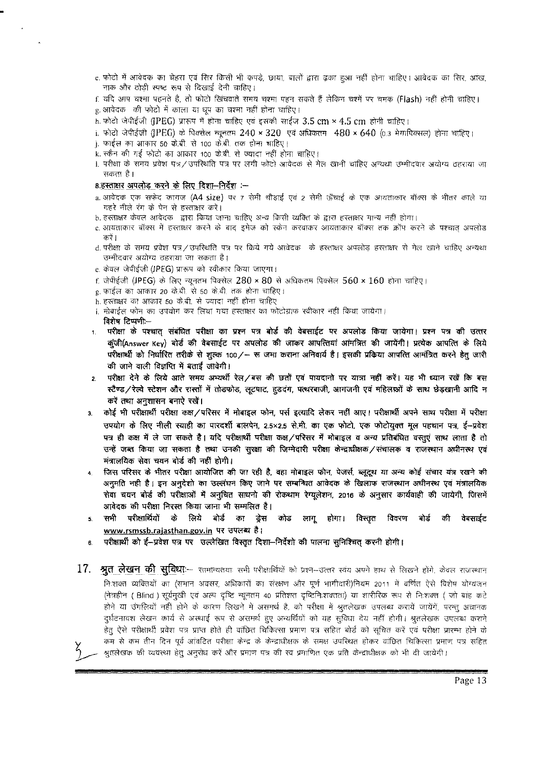- e. फोटो में आवेदक का चेहरा एवं रिार किसी भी कपड़े, छाया, बालों द्वारा ढ़का हुआ नहीं होना चाहिए। आवेदक का सिर, आख, नाक और ठोडी स्पष्ट रूप से दिखाई देनी चाहिए।
- f. यदि आप चश्मा पहनते है, तो फोटो खिंचवाते समय चश्मा पहन सकते हैं लेकिन चश्में पर चमक (Flash) नहीं होनी चाहिए।
- g, आवेदक) की फोटो में काला या धूप का चश्मा नहीं होना चाहिए।
- h फोटो जेपीईजी (JPEG) प्रारूप में होना चाहिए एवं इसकी साईज 3.5 cm × 4.5 cm होनी चाहिए।
- i. फोटो जेपीईजी (JPEG) के पिक्सेल न्यूनतम 240 × 320 एवं अधिकतम 480 × 640 (0.3 मेगापिक्सल) होना चाहिए।
- j. फाईल का आकार 50 के.बी. से 100 के.बी. तक होना चाहिए।
- k. स्कैन की गई फोटो का आकार 100 केबी. से ज्यादा नहीं होना चाहिए।
- ।. परीक्षा के समय प्रवेश पत्र/उपस्थिति पत्र पर लगी फोटो आवेदक से मेल खानी चाहिए अन्यथा उम्मीदवार अयोग्य ठहराया जा सकता है।

### 8.हस्ताक्षर अपलोड़ करने के लिए दिशा-निर्देश :-

- a. आवेदक एक सफेद कागज (A4 size) पर 7 सेमी चौडाई एवं 2 सेमी ऊँचाई के एक आयताकार बॉक्स के भीतर काले या गहरे नीले रंग के पेन से हस्ताक्षर करें।
- b. हस्ताक्षर केवल आवेदक द्वारा किया जाना चाहिए अन्य किसी व्यक्ति के द्वारा हस्ताक्षर मान्य नहीं होगा।
- c. आयताकार बॉक्स में हस्ताक्षर करने के बाद इमेज को स्केन करवाकर आयताकार बॉक्स तक क्रॉप करने के पश्चात् अपलोड़ करें ।
- d. परीक्षा के समय प्रवेश पत्र/उपस्थिति पत्र पर किये गये आवेदक के हस्ताक्षर अपलोड़ हस्ताक्षर से मेल खाने चाहिए अन्यथा उम्मीदवार अयोग्य ठहराया जा सकता है।
- e. केवल जेपीईजी (JPEG) प्रारूप को स्वीकार किया जाएगा।
- f. जेपीईजी (JPEG) के लिए न्यूनतम पिक्सेल  $280 \times 80$  से अधिकतम पिक्सेल  $560 \times 160$  होना चाहिए।
- g. फाईल का आकार 20 के.बी. से 50 के.बी. तक होना चाहिए।
- h. हस्ताक्षर का आकार 50 के.बी. से ज्यादा नहीं होना चाहिए
- ं। मोबाईल फोन का उपयोग कर लिया गया हस्ताक्षर का फोटोग्राफ स्वीकार नहीं किया जायेगा। विशेष टिप्पणी -
- 1. परीक्षा के पश्चात् संबंधित परीक्षा का प्रश्न पत्र बोर्ड की वेबसाईट पर अपलोड किया जायेगा। प्रश्न पत्र की उत्तर कुंजी(Answer Key) बोर्ड की वेबसाईट पर अपलोड की जाकर आपत्तियां आंमंत्रित की जायेंगी। प्रत्येक आपत्ति के लिये परीक्षार्थी को निर्धारित तरीके से शुल्क 100/- रू जमा कराना अनिवार्य है। इसकी प्रकिया आपत्ति आमंत्रित करने हेतु जारी की जाने वाली विज्ञप्ति में बताई जावेगी।
- परीक्षा देने के लिये आते समय अभ्यर्थी रेल/बस की छतों एवं पायदानो पर यात्रा नहीं करें। यह भी ध्यान रखें कि बस  $2.$ स्टैण्ड/रेल्वे स्टेशन और रास्तों में तोडफोड, लूटपाट, हुडदंग, पत्थरबाजी, आगजनी एवं महिलाओं के साथ छेड़खानी आदि न करें तथा अनुशासन बनाएे रखें।
- 3. कोई भी परीक्षार्थी परीक्षा कक्ष / परिसर में मोबाइल फोन, पर्स इत्यादि लेकर नहीं आए। परीक्षार्थी अपने साथ परीक्षा में परीक्षा उपयोग के लिए नीली स्याही का पारदर्शी बालपेन, 2.5×2.5 से.मी. का एक फोटो, एक फोटोयुक्त मूल पहचान पत्र, ई–प्रवेश पत्र ही कक्ष में ले जा सकते है। यदि परीक्षार्थी परीक्षा कक्ष /परिसर में मोबाइल व अन्य प्रतिबंधित वस्तुएं साथ लाता है तो उन्हें जब्त किया जा सकता है तथा उनकी सुरक्षा की जिम्मेदारी परीक्षा केन्द्राधीक्षक/संचालक व राजस्थान अधीनस्थ एवं मंत्रालयिक सेवा चयन बोर्ड की नहीं होगी।
- जिस परिसर के भीतर परीक्षा आयोजित की जा रही है, वहा मोबाइल फोन, पेजर्स, ब्लूटूथ या अन्य कोई संचार यंत्र रखने की अनुमति नहीं है। इन अनुदेशों का उल्लंघन किए जाने पर सम्बन्धित आवेदक के खिलाफ राजस्थान अधीनस्थ एवं मंत्रालयिक सेवा चयन बोर्ड की परीक्षाओं में अनुचित साधनो की रोकथाम रेग्यूलेशन, 2016 के अनुसार कार्यवाही की जायेगी, जिसमें आवेदक की परीक्षा निरस्त किया जाना भी सम्मलित है।
- सभी परीक्षार्थियों के लिये बोर्ड का ड्रेस कोड लागू होगा। विस्तृत विवरण बोर्ड की वेबसाईट 5. www.rsmssb.rajasthan.gov.in पर उपलब्ध है।
- परीक्षार्थी को ई-प्रवेश पत्र पर उल्लेखित विस्तृत दिशा-निर्देशो की पालना सुनिश्चित् करनी होगी। €.
- 17. **श्रुत लेखन की सुविधा**:— सामान्यतयाः सभी परीक्षार्थियों को प्रश्न--उत्तर स्वय अपने हाथ से लिखने होंगे, केवल राजस्थान निःशक्त व्यक्तियों का (समान अवसर, अधिकारों का संरक्षण और पूर्ण भागीदारी)नियम 2011 में वर्णित ऐसे विशेष योग्यजन (नेत्रहीन ( Blind ) सूर्यमुखी एवं अल्प दृष्टि न्यूनतम 40 प्रतिशत दृष्टिनिःशक्तता) या शारीरिक रूप से निःशक्त ( जो बांह कटे होने या उंगलियों नहीं होने के कारण लिखने में असमर्थ है, को परीक्षा में श्रुतलेखक उपलब्ध करायें जायेंगें, परन्तु अचानक दुर्घटनावश लेखन कार्य से अस्थाई रूप से असमर्थ हुए अभ्यर्थियों को यह सुविधा देय नहीं होगी। श्रुतलेखक उपलब्ध कराने हेत् ऐसे परीक्षार्थी प्रवेश पत्र प्राप्त होते ही वांछित चिकित्सा प्रमाण पत्र सहित बोर्ड को सूचित करें एवं परीक्षा प्रारम्भ होने के कम से कम तीन दिन पूर्व आंवटित परीक्षा केन्द्र के केन्द्राधीक्षक के समक्ष उपरिथत होकर वांछित चिकित्सा प्रमाण पत्र सहित ़ श्रुतलेखक की व्यवस्था हेतु अनुरोध करें और प्रमाण पत्र की स्व प्रमाणित एक प्रति केन्द्राधीक्षक को भी दी जायेगी